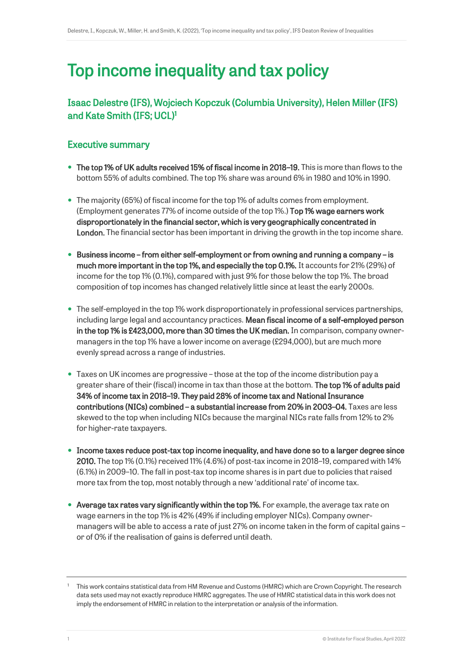# Top income inequality and tax policy

# Isaac Delestre (IFS), Wojciech Kopczuk (Columbia University), Helen Miller (IFS) and Kate Smith (IFS; UCL)<sup>1</sup>

# Executive summary

- The top 1% of UK adults received 15% of fiscal income in 2018–19. This is more than flows to the bottom 55% of adults combined. The top 1% share was around 6% in 1980 and 10% in 1990.
- The majority (65%) of fiscal income for the top 1% of adults comes from employment. (Employment generates 77% of income outside of the top 1%.) Top 1% wage earners work disproportionately in the financial sector, which is very geographically concentrated in London. The financial sector has been important in driving the growth in the top income share.
- Business income from either self-employment or from owning and running a company is much more important in the top 1%, and especially the top 0.1%. It accounts for 21% (29%) of income for the top 1% (0.1%), compared with just 9% for those below the top 1%. The broad composition of top incomes has changed relatively little since at least the early 2000s.
- The self-employed in the top 1% work disproportionately in professional services partnerships, including large legal and accountancy practices. Mean fiscal income of a self-employed person in the top 1% is £423,000, more than 30 times the UK median. In comparison, company ownermanagers in the top 1% have a lower income on average (£294,000), but are much more evenly spread across a range of industries.
- Taxes on UK incomes are progressive those at the top of the income distribution pay a greater share of their (fiscal) income in tax than those at the bottom. The top 1% of adults paid 34% of income tax in 2018–19. They paid 28% of income tax and National Insurance contributions (NICs) combined – a substantial increase from 20% in 2003–04. Taxes are less skewed to the top when including NICs because the marginal NICs rate falls from 12% to 2% for higher-rate taxpayers.
- Income taxes reduce post-tax top income inequality, and have done so to a larger degree since 2010. The top 1% (0.1%) received 11% (4.6%) of post-tax income in 2018–19, compared with 14% (6.1%) in 2009–10. The fall in post-tax top income shares is in part due to policies that raised more tax from the top, most notably through a new 'additional rate' of income tax.
- Average tax rates vary significantly within the top 1%. For example, the average tax rate on wage earners in the top 1% is 42% (49% if including employer NICs). Company ownermanagers will be able to access a rate of just 27% on income taken in the form of capital gains – or of 0% if the realisation of gains is deferred until death.

<sup>1</sup> This work contains statistical data from HM Revenue and Customs (HMRC) which are Crown Copyright. The research data sets used may not exactly reproduce HMRC aggregates. The use of HMRC statistical data in this work does not imply the endorsement of HMRC in relation to the interpretation or analysis of the information.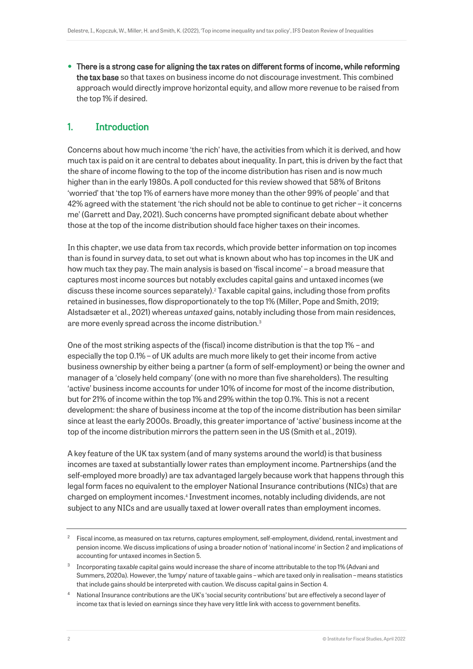There is a strong case for aligning the tax rates on different forms of income, while reforming the tax base so that taxes on business income do not discourage investment. This combined approach would directly improve horizontal equity, and allow more revenue to be raised from the top 1% if desired.

# 1. Introduction

Concerns about how much income 'the rich' have, the activities from which it is derived, and how much tax is paid on it are central to debates about inequality. In part, this is driven by the fact that the share of income flowing to the top of the income distribution has risen and is now much higher than in the early 1980s. A poll conducted for this review showed that 58% of Britons 'worried' that 'the top 1% of earners have more money than the other 99% of people' and that 42% agreed with the statement 'the rich should not be able to continue to get richer – it concerns me' (Garrett and Day, 2021). Such concerns have prompted significant debate about whether those at the top of the income distribution should face higher taxes on their incomes.

In this chapter, we use data from tax records, which provide better information on top incomes than is found in survey data, to set out what is known about who has top incomes in the UK and how much tax they pay. The main analysis is based on 'fiscal income' – a broad measure that captures most income sources but notably excludes capital gains and untaxed incomes (we discuss these income sources separately).<sup>2</sup> Taxable capital gains, including those from profits retained in businesses, flow disproportionately to the top 1% (Miller, Pope and Smith, 2019; Alstadsæter et al., 2021) whereas *untaxed* gains, notably including those from main residences, are more evenly spread across the income distribution.<sup>3</sup>

One of the most striking aspects of the (fiscal) income distribution is that the top 1% – and especially the top 0.1% – of UK adults are much more likely to get their income from active business ownership by either being a partner (a form of self-employment) or being the owner and manager of a 'closely held company' (one with no more than five shareholders). The resulting 'active' business income accounts for under 10% of income for most of the income distribution, but for 21% of income within the top 1% and 29% within the top 0.1%. This is not a recent development: the share of business income at the top of the income distribution has been similar since at least the early 2000s. Broadly, this greater importance of 'active' business income at the top of the income distribution mirrors the pattern seen in the US (Smith et al., 2019).

A key feature of the UK tax system (and of many systems around the world) is that business incomes are taxed at substantially lower rates than employment income. Partnerships (and the self-employed more broadly) are tax advantaged largely because work that happens through this legal form faces no equivalent to the employer National Insurance contributions (NICs) that are charged on employment incomes.<sup>4</sup> Investment incomes, notably including dividends, are not subject to any NICs and are usually taxed at lower overall rates than employment incomes.

 $2<sup>2</sup>$  Fiscal income, as measured on tax returns, captures employment, self-employment, dividend, rental, investment and pension income. We discuss implications of using a broader notion of 'national income' in Section 2 and implications of accounting for untaxed incomes in Section 5.

<sup>3</sup> Incorporating *taxable* capital gains would increase the share of income attributable to the top 1% (Advani and Summers, 2020a). However, the 'lumpy' nature of taxable gains – which are taxed only in realisation – means statistics that include gains should be interpreted with caution. We discuss capital gains in Section 4.

<sup>4</sup> National Insurance contributions are the UK's 'social security contributions' but are effectively a second layer of income tax that is levied on earnings since they have very little link with access to government benefits.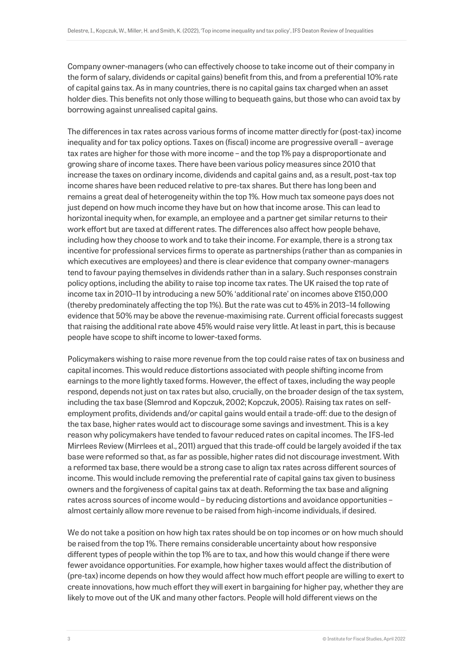Company owner-managers (who can effectively choose to take income out of their company in the form of salary, dividends or capital gains) benefit from this, and from a preferential 10% rate of capital gains tax. As in many countries, there is no capital gains tax charged when an asset holder dies. This benefits not only those willing to bequeath gains, but those who can avoid tax by borrowing against unrealised capital gains.

The differences in tax rates across various forms of income matter directly for (post-tax) income inequality and for tax policy options. Taxes on (fiscal) income are progressive overall – average tax rates are higher for those with more income – and the top 1% pay a disproportionate and growing share of income taxes. There have been various policy measures since 2010 that increase the taxes on ordinary income, dividends and capital gains and, as a result, post-tax top income shares have been reduced relative to pre-tax shares. But there has long been and remains a great deal of heterogeneity within the top 1%. How much tax someone pays does not just depend on how much income they have but on how that income arose. This can lead to horizontal inequity when, for example, an employee and a partner get similar returns to their work effort but are taxed at different rates. The differences also affect how people behave, including how they choose to work and to take their income. For example, there is a strong tax incentive for professional services firms to operate as partnerships (rather than as companies in which executives are employees) and there is clear evidence that company owner-managers tend to favour paying themselves in dividends rather than in a salary. Such responses constrain policy options, including the ability to raise top income tax rates. The UK raised the top rate of income tax in 2010–11 by introducing a new 50% 'additional rate' on incomes above £150,000 (thereby predominately affecting the top 1%). But the rate was cut to 45% in 2013–14 following evidence that 50% may be above the revenue-maximising rate. Current official forecasts suggest that raising the additional rate above 45% would raise very little. At least in part, this is because people have scope to shift income to lower-taxed forms.

Policymakers wishing to raise more revenue from the top could raise rates of tax on business and capital incomes. This would reduce distortions associated with people shifting income from earnings to the more lightly taxed forms. However, the effect of taxes, including the way people respond, depends not just on tax rates but also, crucially, on the broader design of the tax system, including the tax base (Slemrod and Kopczuk, 2002; Kopczuk, 2005). Raising tax rates on selfemployment profits, dividends and/or capital gains would entail a trade-off: due to the design of the tax base, higher rates would act to discourage some savings and investment. This is a key reason why policymakers have tended to favour reduced rates on capital incomes. The IFS-led Mirrlees Review (Mirrlees et al., 2011) argued that this trade-off could be largely avoided if the tax base were reformed so that, as far as possible, higher rates did not discourage investment. With a reformed tax base, there would be a strong case to align tax rates across different sources of income. This would include removing the preferential rate of capital gains tax given to business owners and the forgiveness of capital gains tax at death. Reforming the tax base and aligning rates across sources of income would – by reducing distortions and avoidance opportunities – almost certainly allow more revenue to be raised from high-income individuals, if desired.

We do not take a position on how high tax rates should be on top incomes or on how much should be raised from the top 1%. There remains considerable uncertainty about how responsive different types of people within the top 1% are to tax, and how this would change if there were fewer avoidance opportunities. For example, how higher taxes would affect the distribution of (pre-tax) income depends on how they would affect how much effort people are willing to exert to create innovations, how much effort they will exert in bargaining for higher pay, whether they are likely to move out of the UK and many other factors. People will hold different views on the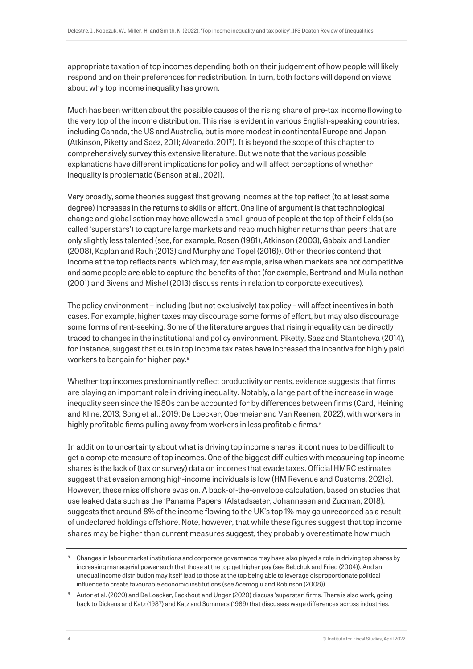appropriate taxation of top incomes depending both on their judgement of how people will likely respond and on their preferences for redistribution. In turn, both factors will depend on views about why top income inequality has grown.

Much has been written about the possible causes of the rising share of pre-tax income flowing to the very top of the income distribution. This rise is evident in various English-speaking countries, including Canada, the US and Australia, but is more modest in continental Europe and Japan (Atkinson, Piketty and Saez, 2011; Alvaredo, 2017). It is beyond the scope of this chapter to comprehensively survey this extensive literature. But we note that the various possible explanations have different implications for policy and will affect perceptions of whether inequality is problematic (Benson et al., 2021).

Very broadly, some theories suggest that growing incomes at the top reflect (to at least some degree) increases in the returns to skills or effort. One line of argument is that technological change and globalisation may have allowed a small group of people at the top of their fields (socalled 'superstars') to capture large markets and reap much higher returns than peers that are only slightly less talented (see, for example, Rosen (1981), Atkinson (2003), Gabaix and Landier (2008), Kaplan and Rauh (2013) and Murphy and Topel (2016)). Other theories contend that income at the top reflects rents, which may, for example, arise when markets are not competitive and some people are able to capture the benefits of that (for example, Bertrand and Mullainathan (2001) and Bivens and Mishel (2013) discuss rents in relation to corporate executives).

The policy environment – including (but not exclusively) tax policy – will affect incentives in both cases. For example, higher taxes may discourage some forms of effort, but may also discourage some forms of rent-seeking. Some of the literature argues that rising inequality can be directly traced to changes in the institutional and policy environment. Piketty, Saez and Stantcheva (2014), for instance, suggest that cuts in top income tax rates have increased the incentive for highly paid workers to bargain for higher pay.<sup>5</sup>

Whether top incomes predominantly reflect productivity or rents, evidence suggests that firms are playing an important role in driving inequality. Notably, a large part of the increase in wage inequality seen since the 1980s can be accounted for by differences between firms (Card, Heining and Kline, 2013; Song et al., 2019; De Loecker, Obermeier and Van Reenen, 2022), with workers in highly profitable firms pulling away from workers in less profitable firms.<sup>6</sup>

In addition to uncertainty about what is driving top income shares, it continues to be difficult to get a complete measure of top incomes. One of the biggest difficulties with measuring top income shares is the lack of (tax or survey) data on incomes that evade taxes. Official HMRC estimates suggest that evasion among high-income individuals is low (HM Revenue and Customs, 2021c). However, these miss offshore evasion. A back-of-the-envelope calculation, based on studies that use leaked data such as the 'Panama Papers' (Alstadsæter, Johannesen and Zucman, 2018), suggests that around 8% of the income flowing to the UK's top 1% may go unrecorded as a result of undeclared holdings offshore. Note, however, that while these figures suggest that top income shares may be higher than current measures suggest, they probably overestimate how much

<sup>&</sup>lt;sup>5</sup> Changes in labour market institutions and corporate governance may have also played a role in driving top shares by increasing managerial power such that those at the top get higher pay (see Bebchuk and Fried (2004)). And an unequal income distribution may itself lead to those at the top being able to leverage disproportionate political influence to create favourable economic institutions (see Acemoglu and Robinson (2008)).

<sup>6</sup> Autor et al. (2020) and De Loecker, Eeckhout and Unger (2020) discuss 'superstar' firms. There is also work, going back to Dickens and Katz (1987) and Katz and Summers (1989) that discusses wage differences across industries.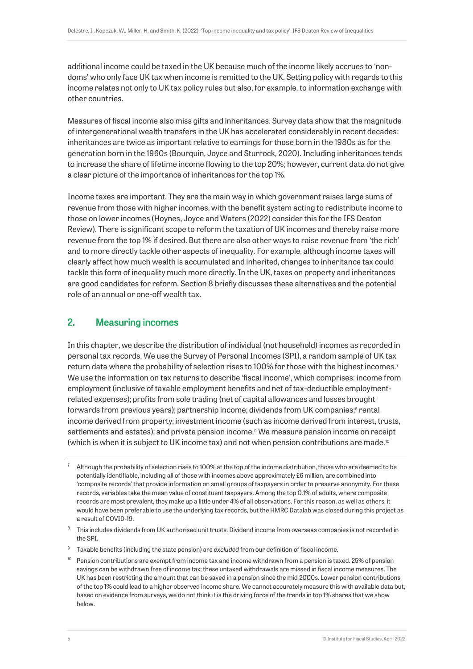additional income could be taxed in the UK because much of the income likely accrues to 'nondoms' who only face UK tax when income is remitted to the UK. Setting policy with regards to this income relates not only to UK tax policy rules but also, for example, to information exchange with other countries.

Measures of fiscal income also miss gifts and inheritances. Survey data show that the magnitude of intergenerational wealth transfers in the UK has accelerated considerably in recent decades: inheritances are twice as important relative to earnings for those born in the 1980s as for the generation born in the 1960s (Bourquin, Joyce and Sturrock, 2020). Including inheritances tends to increase the share of lifetime income flowing to the top 20%; however, current data do not give a clear picture of the importance of inheritances for the top 1%.

Income taxes are important. They are the main way in which government raises large sums of revenue from those with higher incomes, with the benefit system acting to redistribute income to those on lower incomes (Hoynes, Joyce and Waters (2022) consider this for the IFS Deaton Review). There is significant scope to reform the taxation of UK incomes and thereby raise more revenue from the top 1% if desired. But there are also other ways to raise revenue from 'the rich' and to more directly tackle other aspects of inequality. For example, although income taxes will clearly affect how much wealth is accumulated and inherited, changes to inheritance tax could tackle this form of inequality much more directly. In the UK, taxes on property and inheritances are good candidates for reform. Section 8 briefly discusses these alternatives and the potential role of an annual or one-off wealth tax.

## 2. Measuring incomes

<span id="page-5-0"></span>In this chapter, we describe the distribution of individual (not household) incomes as recorded in personal tax records. We use the Survey of Personal Incomes (SPI), a random sample of UK tax return data where the probability of selection rises to 100% for those with the highest incomes.<sup>7</sup> We use the information on tax returns to describe 'fiscal income', which comprises: income from employment (inclusive of taxable employment benefits and net of tax-deductible employmentrelated expenses); profits from sole trading (net of capital allowances and losses brought forwards from previous years); partnership income; dividends from UK companies; <sup>8</sup> rental income derived from property; investment income (such as income derived from interest, trusts, settlements and estates); and private pension income.<sup>9</sup> We measure pension income on receipt (which is when it is subject to UK income tax) and not when pension contributions are made.<sup>10</sup>

- <sup>9</sup> Taxable benefits (including the state pension) are *excluded* from our definition of fiscal income.
- <sup>10</sup> Pension contributions are exempt from income tax and income withdrawn from a pension is taxed. 25% of pension savings can be withdrawn free of income tax; these untaxed withdrawals are missed in fiscal income measures. The UK has been restricting the amount that can be saved in a pension since the mid 2000s. Lower pension contributions of the top 1% could lead to a higher observed income share. We cannot accurately measure this with available data but, based on evidence from surveys, we do not think it is the driving force of the trends in top 1% shares that we show below.

 $7$  Although the probability of selection rises to 100% at the top of the income distribution, those who are deemed to be potentially identifiable, including all of those with incomes above approximately £6 million, are combined into 'composite records' that provide information on small groups of taxpayers in order to preserve anonymity. For these records, variables take the mean value of constituent taxpayers. Among the top 0.1% of adults, where composite records are most prevalent, they make up a little under 4% of all observations. For this reason, as well as others, it would have been preferable to use the underlying tax records, but the HMRC Datalab was closed during this project as a result of COVID-19.

<sup>8</sup> This includes dividends from UK authorised unit trusts. Dividend income from overseas companies is not recorded in the SPI.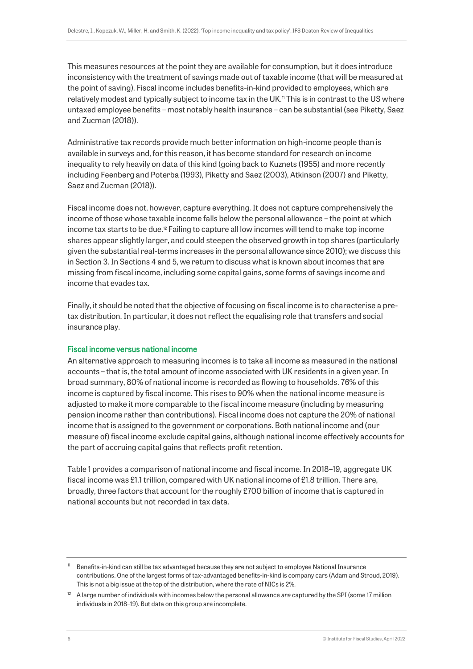This measures resources at the point they are available for consumption, but it does introduce inconsistency with the treatment of savings made out of taxable income (that will be measured at the point of saving). Fiscal income includes benefits-in-kind provided to employees, which are relatively modest and typically subject to income tax in the UK.<sup>11</sup> This is in contrast to the US where untaxed employee benefits – most notably health insurance – can be substantial (see Piketty, Saez and Zucman (2018)).

Administrative tax records provide much better information on high-income people than is available in surveys and, for this reason, it has become standard for research on income inequality to rely heavily on data of this kind (going back to Kuznets (1955) and more recently including Feenberg and Poterba (1993), Piketty and Saez (2003), Atkinson (2007) and Piketty, Saez and Zucman (2018)).

Fiscal income does not, however, capture everything. It does not capture comprehensively the income of those whose taxable income falls below the personal allowance – the point at which income tax starts to be due.<sup>12</sup> Failing to capture all low incomes will tend to make top income shares appear slightly larger, and could steepen the observed growth in top shares (particularly given the substantial real-terms increases in the personal allowance since 2010); we discuss this in Section 3. In Sections 4 and 5, we return to discuss what is known about incomes that are missing from fiscal income, including some capital gains, some forms of savings income and income that evades tax.

Finally, it should be noted that the objective of focusing on fiscal income is to characterise a pretax distribution. In particular, it does not reflect the equalising role that transfers and social insurance play.

## Fiscal income versus national income

An alternative approach to measuring incomes is to take all income as measured in the national accounts – that is, the total amount of income associated with UK residents in a given year. In broad summary, 80% of national income is recorded as flowing to households. 76% of this income is captured by fiscal income. This rises to 90% when the national income measure is adjusted to make it more comparable to the fiscal income measure (including by measuring pension income rather than contributions). Fiscal income does not capture the 20% of national income that is assigned to the government or corporations. Both national income and (our measure of) fiscal income exclude capital gains, although national income effectively accounts for the part of accruing capital gains that reflects profit retention.

Table 1 provides a comparison of national income and fiscal income. In 2018–19, aggregate UK fiscal income was £1.1 trillion, compared with UK national income of £1.8 trillion. There are, broadly, three factors that account for the roughly £700 billion of income that is captured in national accounts but not recorded in tax data.

<sup>11</sup> Benefits-in-kind can still be tax advantaged because they are not subject to employee National Insurance contributions. One of the largest forms of tax-advantaged benefits-in-kind is company cars (Adam and Stroud, 2019). This is not a big issue at the top of the distribution, where the rate of NICs is 2%.

<sup>12</sup> A large number of individuals with incomes below the personal allowance *are* captured by the SPI (some 17 million individuals in 2018–19). But data on this group are incomplete.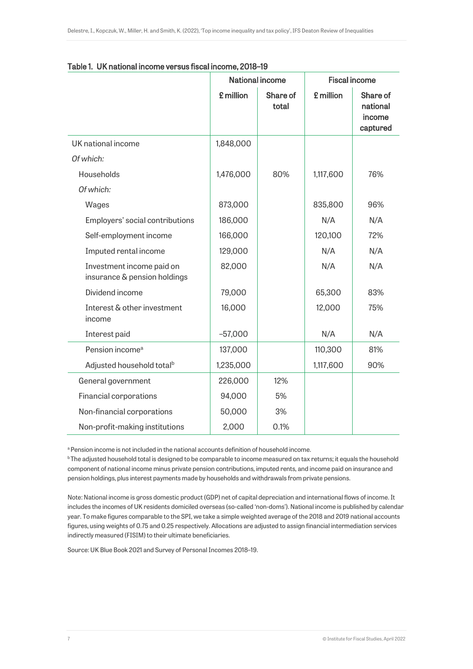|                                                           |           | <b>National income</b> | <b>Fiscal income</b> |                                            |
|-----------------------------------------------------------|-----------|------------------------|----------------------|--------------------------------------------|
|                                                           | £ million | Share of<br>total      | £ million            | Share of<br>national<br>income<br>captured |
| UK national income                                        | 1,848,000 |                        |                      |                                            |
| Of which:                                                 |           |                        |                      |                                            |
| Households                                                | 1,476,000 | 80%                    | 1,117,600            | 76%                                        |
| Of which:                                                 |           |                        |                      |                                            |
| Wages                                                     | 873,000   |                        | 835,800              | 96%                                        |
| Employers' social contributions                           | 186,000   |                        | N/A                  | N/A                                        |
| Self-employment income                                    | 166,000   |                        | 120,100              | 72%                                        |
| Imputed rental income                                     | 129,000   |                        | N/A                  | N/A                                        |
| Investment income paid on<br>insurance & pension holdings | 82,000    |                        | N/A                  | N/A                                        |
| Dividend income                                           | 79,000    |                        | 65,300               | 83%                                        |
| Interest & other investment<br>income                     | 16,000    |                        | 12,000               | 75%                                        |
| Interest paid                                             | $-57,000$ |                        | N/A                  | N/A                                        |
| Pension income <sup>a</sup>                               | 137,000   |                        | 110,300              | 81%                                        |
| Adjusted household total <sup>b</sup>                     | 1,235,000 |                        | 1,117,600            | 90%                                        |
| General government                                        | 226,000   | 12%                    |                      |                                            |
| Financial corporations                                    | 94,000    | 5%                     |                      |                                            |
| Non-financial corporations                                | 50,000    | 3%                     |                      |                                            |
| Non-profit-making institutions                            | 2,000     | 0.1%                   |                      |                                            |

|  |  | Table 1. UK national income versus fiscal income, 2018-19 |  |  |
|--|--|-----------------------------------------------------------|--|--|
|--|--|-----------------------------------------------------------|--|--|

a Pension income is not included in the national accounts definition of household income.

<sup>b</sup>The adjusted household total is designed to be comparable to income measured on tax returns; it equals the household component of national income minus private pension contributions, imputed rents, and income paid on insurance and pension holdings, plus interest payments made by households and withdrawals from private pensions.

Note: National income is gross domestic product (GDP) net of capital depreciation and international flows of income. It includes the incomes of UK residents domiciled overseas (so-called 'non-doms'). National income is published by calendar year. To make figures comparable to the SPI, we take a simple weighted average of the 2018 and 2019 national accounts figures, using weights of 0.75 and 0.25 respectively. Allocations are adjusted to assign financial intermediation services indirectly measured (FISIM) to their ultimate beneficiaries.

Source: UK Blue Book 2021 and Survey of Personal Incomes 2018–19.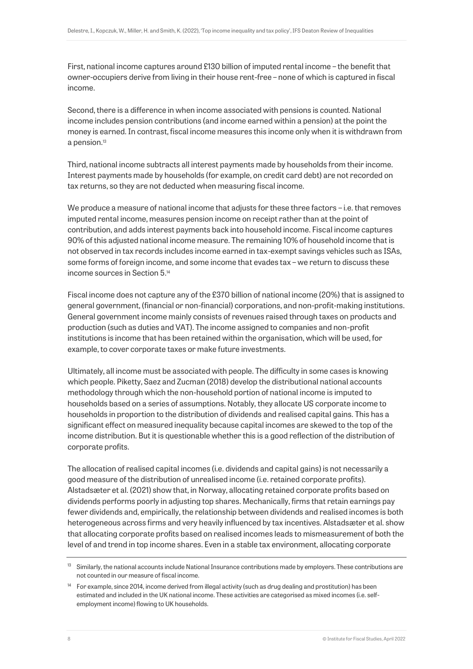First, national income captures around £130 billion of imputed rental income – the benefit that owner-occupiers derive from living in their house rent-free – none of which is captured in fiscal income.

Second, there is a difference in when income associated with pensions is counted. National income includes pension contributions (and income earned within a pension) at the point the money is earned. In contrast, fiscal income measures this income only when it is withdrawn from a pension.<sup>13</sup>

Third, national income subtracts all interest payments made by households from their income. Interest payments made by households (for example, on credit card debt) are not recorded on tax returns, so they are not deducted when measuring fiscal income.

We produce a measure of national income that adjusts for these three factors – i.e. that removes imputed rental income, measures pension income on receipt rather than at the point of contribution, and adds interest payments back into household income. Fiscal income captures 90% of this adjusted national income measure. The remaining 10% of household income that is not observed in tax records includes income earned in tax-exempt savings vehicles such as ISAs, some forms of foreign income, and some income that evades tax – we return to discuss these income sources in Section 5. 14

Fiscal income does not capture any of the £370 billion of national income (20%) that is assigned to general government, (financial or non-financial) corporations, and non-profit-making institutions. General government income mainly consists of revenues raised through taxes on products and production (such as duties and VAT). The income assigned to companies and non-profit institutions is income that has been retained within the organisation, which will be used, for example, to cover corporate taxes or make future investments.

Ultimately, all income must be associated with people. The difficulty in some cases is knowing which people. Piketty, Saez and Zucman (2018) develop the distributional national accounts methodology through which the non-household portion of national income is imputed to households based on a series of assumptions. Notably, they allocate US corporate income to households in proportion to the distribution of dividends and realised capital gains. This has a significant effect on measured inequality because capital incomes are skewed to the top of the income distribution. But it is questionable whether this is a good reflection of the distribution of corporate profits.

The allocation of realised capital incomes (i.e. dividends and capital gains) is not necessarily a good measure of the distribution of unrealised income (i.e. retained corporate profits). Alstadsæter et al. (2021) show that, in Norway, allocating retained corporate profits based on dividends performs poorly in adjusting top shares. Mechanically, firms that retain earnings pay fewer dividends and, empirically, the relationship between dividends and realised incomes is both heterogeneous across firms and very heavily influenced by tax incentives. Alstadsæter et al. show that allocating corporate profits based on realised incomes leads to mismeasurement of both the level of and trend in top income shares. Even in a stable tax environment, allocating corporate

 $13$  Similarly, the national accounts include National Insurance contributions made by employers. These contributions are not counted in our measure of fiscal income.

<sup>&</sup>lt;sup>14</sup> For example, since 2014, income derived from illegal activity (such as drug dealing and prostitution) has been estimated and included in the UK national income. These activities are categorised as mixed incomes (i.e. selfemployment income) flowing to UK households.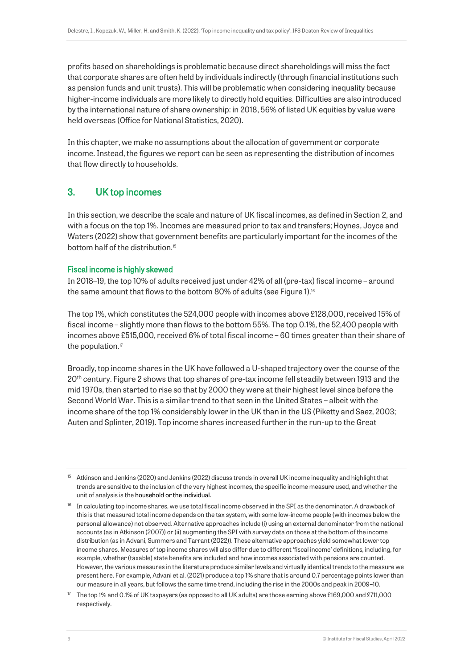profits based on shareholdings is problematic because direct shareholdings will miss the fact that corporate shares are often held by individuals indirectly (through financial institutions such as pension funds and unit trusts). This will be problematic when considering inequality because higher-income individuals are more likely to directly hold equities. Difficulties are also introduced by the international nature of share ownership: in 2018, 56% of listed UK equities by value were held overseas (Office for National Statistics, 2020).

In this chapter, we make no assumptions about the allocation of government or corporate income. Instead, the figures we report can be seen as representing the distribution of incomes that flow directly to households.

# 3. UK top incomes

In this section, we describe the scale and nature of UK fiscal incomes, as defined in Section 2, and with a focus on the top 1%. Incomes are measured prior to tax and transfers; Hoynes, Joyce and Waters (2022) show that government benefits are particularly important for the incomes of the bottom half of the distribution.<sup>15</sup>

## Fiscal income is highly skewed

<span id="page-9-0"></span>In 2018–19, the top 10% of adults received just under 42% of all (pre-tax) fiscal income – around the same amount that flows to the bottom 80% of adults (see Figure 1).<sup>16</sup>

The top 1%, which constitutes the 524,000 people with incomes above £128,000, received 15% of fiscal income – slightly more than flows to the bottom 55%. The top 0.1%, the 52,400 people with incomes above £515,000, received 6% of total fiscal income – 60 times greater than their share of the population.<sup>17</sup>

Broadly, top income shares in the UK have followed a U-shaped trajectory over the course of the 20<sup>th</sup> century. Figure 2 shows that top shares of pre-tax income fell steadily between 1913 and the mid 1970s, then started to rise so that by 2000 they were at their highest level since before the Second World War. This is a similar trend to that seen in the United States – albeit with the income share of the top 1% considerably lower in the UK than in the US (Piketty and Saez, 2003; Auten and Splinter, 2019). Top income shares increased further in the run-up to the Great

<sup>15</sup> Atkinson and Jenkins (2020) and Jenkins (2022) discuss trends in overall UK income inequality and highlight that trends are sensitive to the inclusion of the very highest incomes, the specific income measure used, and whether the unit of analysis is the household or the individual.

<sup>&</sup>lt;sup>16</sup> In calculating top income shares, we use total fiscal income observed in the SPI as the denominator. A drawback of this is that measured total income depends on the tax system, with some low-income people (with incomes below the personal allowance) not observed. Alternative approaches include (i) using an external denominator from the national accounts (as in Atkinson (2007)) or (ii) augmenting the SPI with survey data on those at the bottom of the income distribution (as in Advani, Summers and Tarrant (2022)). These alternative approaches yield somewhat lower top income shares. Measures of top income shares will also differ due to different 'fiscal income' definitions, including, for example, whether (taxable) state benefits are included and how incomes associated with pensions are counted. However, the various measures in the literature produce similar levels and virtually identical trends to the measure we present here. For example, Advani et al. (2021) produce a top 1% share that is around 0.7 percentage points lower than our measure in all years, but follows the same time trend, including the rise in the 2000s and peak in 2009–10.

<sup>&</sup>lt;sup>17</sup> The top 1% and 0.1% of UK taxpayers (as opposed to all UK adults) are those earning above £169,000 and £711,000 respectively.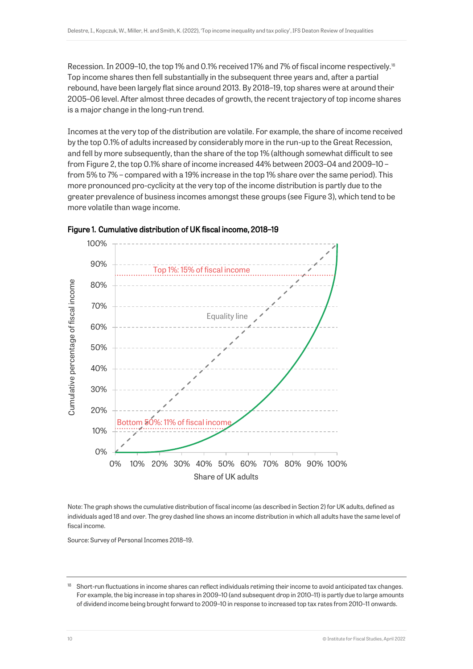Recession. In 2009–10, the top 1% and 0.1% received 17% and 7% of fiscal income respectively.<sup>18</sup> Top income shares then fell substantially in the subsequent three years and, after a partial rebound, have been largely flat since around 2013. By 2018–19, top shares were at around their 2005–06 level. After almost three decades of growth, the recent trajectory of top income shares is a major change in the long-run trend.

Incomes at the very top of the distribution are volatile. For example, the share of income received by the top 0.1% of adults increased by considerably more in the run-up to the Great Recession, and fell by more subsequently, than the share of the top 1% (although somewhat difficult to see from Figure 2, the top 0.1% share of income increased 44% between 2003–04 and 2009–10 – from 5% to 7% – compared with a 19% increase in the top 1% share over the same period). This more pronounced pro-cyclicity at the very top of the income distribution is partly due to the greater prevalence of business incomes amongst these groups (see Figure 3), which tend to be more volatile than wage income.





Note: The graph shows the cumulative distribution of fiscal income (as described in Section 2) for UK adults, defined as individuals aged 18 and over. The grey dashed line shows an income distribution in which all adults have the same level of fiscal income.

Source: Survey of Personal Incomes 2018–19.

Short-run fluctuations in income shares can reflect individuals retiming their income to avoid anticipated tax changes. For example, the big increase in top shares in 2009–10 (and subsequent drop in 2010–11) is partly due to large amounts of dividend income being brought forward to 2009–10 in response to increased top tax rates from 2010–11 onwards.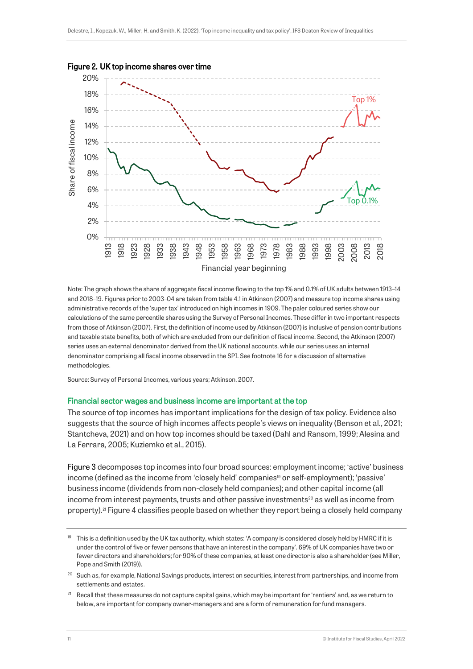

Figure 2. UK top income shares over time

Note: The graph shows the share of aggregate fiscal income flowing to the top 1% and 0.1% of UK adults between 1913–14 and 2018–19. Figures prior to 2003–04 are taken from table 4.1 in Atkinson (2007) and measure top income shares using administrative records of the 'super tax' introduced on high incomes in 1909. The paler coloured series show our calculations of the same percentile shares using the Survey of Personal Incomes. These differ in two important respects from those of Atkinson (2007). First, the definition of income used by Atkinson (2007) is inclusive of pension contributions and taxable state benefits, both of which are excluded from our definition of fiscal income. Second, the Atkinson (2007) series uses an external denominator derived from the UK national accounts, while our series uses an internal denominator comprising all fiscal income observed in the SPI. See footnot[e 16](#page-9-0) for a discussion of alternative methodologies.

Source: Survey of Personal Incomes, various years; Atkinson, 2007.

#### Financial sector wages and business income are important at the top

The source of top incomes has important implications for the design of tax policy. Evidence also suggests that the source of high incomes affects people's views on inequality (Benson et al., 2021; Stantcheva, 2021) and on how top incomes should be taxed (Dahl and Ransom, 1999; Alesina and La Ferrara, 2005; Kuziemko et al., 2015).

Figure 3 decomposes top incomes into four broad sources: employment income; 'active' business income (defined as the income from 'closely held' companies<sup>19</sup> or self-employment); 'passive' business income (dividends from non-closely held companies); and other capital income (all income from interest payments, trusts and other passive investments<sup>20</sup> as well as income from property).<sup>21</sup> Figure 4 classifies people based on whether they report being a closely held company

<sup>&</sup>lt;sup>19</sup> This is a definition used by the UK tax authority, which states: 'A company is considered closely held by HMRC if it is under the control of five or fewer persons that have an interest in the company'. 69% of UK companies have two or fewer directors and shareholders; for 90% of these companies, at least one director is also a shareholder (see Miller, Pope and Smith (2019)).

<sup>&</sup>lt;sup>20</sup> Such as, for example, National Savings products, interest on securities, interest from partnerships, and income from settlements and estates.

<sup>&</sup>lt;sup>21</sup> Recall that these measures do not capture capital gains, which may be important for 'rentiers' and, as we return to below, are important for company owner-managers and are a form of remuneration for fund managers.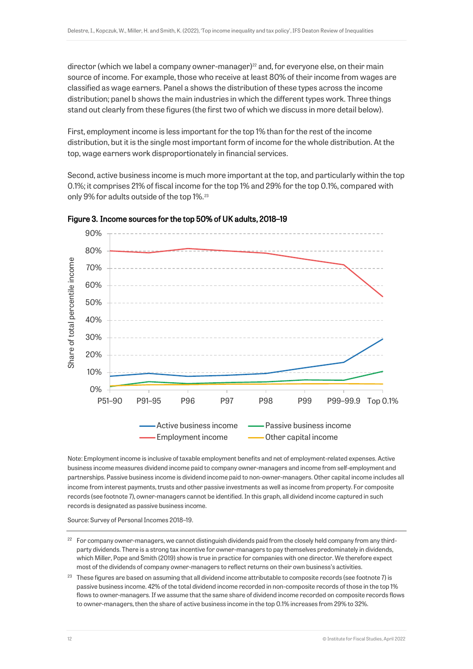director (which we label a company owner-manager)<sup>22</sup> and, for everyone else, on their main source of income. For example, those who receive at least 80% of their income from wages are classified as wage earners. Panel a shows the distribution of these types across the income distribution; panel b shows the main industries in which the different types work. Three things stand out clearly from these figures (the first two of which we discuss in more detail below).

First, employment income is less important for the top 1% than for the rest of the income distribution, but it is the single most important form of income for the whole distribution. At the top, wage earners work disproportionately in financial services.

Second, active business income is much more important at the top, and particularly within the top 0.1%; it comprises 21% of fiscal income for the top 1% and 29% for the top 0.1%, compared with only 9% for adults outside of the top 1%.<sup>23</sup>





Note: Employment income is inclusive of taxable employment benefits and net of employment-related expenses. Active business income measures dividend income paid to company owner-managers and income from self-employment and partnerships. Passive business income is dividend income paid to non-owner-managers. Other capital income includes all income from interest payments, trusts and other passive investments as well as income from property. For composite records (see footnot[e 7\)](#page-5-0), owner-managers cannot be identified. In this graph, all dividend income captured in such records is designated as passive business income.

Source: Survey of Personal Incomes 2018–19.

<sup>&</sup>lt;sup>22</sup> For company owner-managers, we cannot distinguish dividends paid from the closely held company from any thirdparty dividends. There is a strong tax incentive for owner-managers to pay themselves predominately in dividends, which Miller, Pope and Smith (2019) show is true in practice for companies with one director. We therefore expect most of the dividends of company owner-managers to reflect returns on their own business's activities.

 $23$  These figures are based on assuming that all dividend income attributable to composite records (see footnot[e 7\)](#page-5-0) is passive business income. 42% of the total dividend income recorded in non-composite records of those in the top 1% flows to owner-managers. If we assume that the same share of dividend income recorded on composite records flows to owner-managers, then the share of active business income in the top 0.1% increases from 29% to 32%.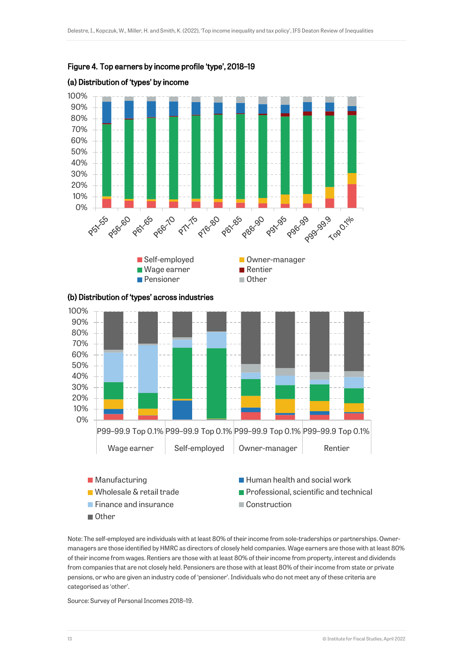

## Figure 4. Top earners by income profile 'type', 2018–19



# (a) Distribution of 'types' by income

Note: The self-employed are individuals with at least 80% of their income from sole-traderships or partnerships. Ownermanagers are those identified by HMRC as directors of closely held companies. Wage earners are those with at least 80% of their income from wages. Rentiers are those with at least 80% of their income from property, interest and dividends from companies that are not closely held. Pensioners are those with at least 80% of their income from state or private pensions, or who are given an industry code of 'pensioner'. Individuals who do not meet any of these criteria are Other

 $\blacksquare$  Wholesale & retail trade  $\blacksquare$  Professional, scientific and technical

Finance and insurance Construction

Source: Survey of Personal Incomes 2018–19.

categorised as 'other'.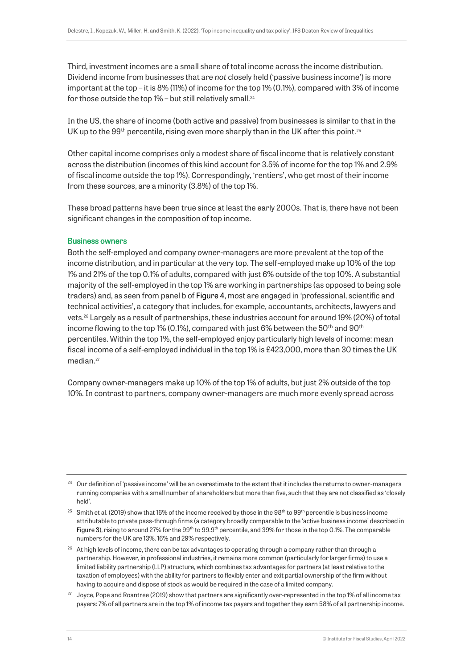Third, investment incomes are a small share of total income across the income distribution. Dividend income from businesses that are *not* closely held ('passive business income') is more important at the top – it is 8% (11%) of income for the top 1% (0.1%), compared with 3% of income for those outside the top 1% – but still relatively small.<sup>24</sup>

In the US, the share of income (both active and passive) from businesses is similar to that in the UK up to the 99<sup>th</sup> percentile, rising even more sharply than in the UK after this point.<sup>25</sup>

Other capital income comprises only a modest share of fiscal income that is relatively constant across the distribution (incomes of this kind account for 3.5% of income for the top 1% and 2.9% of fiscal income outside the top 1%). Correspondingly, 'rentiers', who get most of their income from these sources, are a minority (3.8%) of the top 1%.

These broad patterns have been true since at least the early 2000s. That is, there have not been significant changes in the composition of top income.

## Business owners

Both the self-employed and company owner-managers are more prevalent at the top of the income distribution, and in particular at the very top. The self-employed make up 10% of the top 1% and 21% of the top 0.1% of adults, compared with just 6% outside of the top 10%. A substantial majority of the self-employed in the top 1% are working in partnerships (as opposed to being sole traders) and, as seen from panel b of Figure 4, most are engaged in 'professional, scientific and technical activities', a category that includes, for example, accountants, architects, lawyers and vets.<sup>26</sup> Largely as a result of partnerships, these industries account for around 19% (20%) of total income flowing to the top 1% (0.1%), compared with just 6% between the 50<sup>th</sup> and 90<sup>th</sup> percentiles. Within the top 1%, the self-employed enjoy particularly high levels of income: mean fiscal income of a self-employed individual in the top 1% is £423,000, more than 30 times the UK median.<sup>27</sup>

Company owner-managers make up 10% of the top 1% of adults, but just 2% outside of the top 10%. In contrast to partners, company owner-managers are much more evenly spread across

<sup>27</sup> Joyce, Pope and Roantree (2019) show that partners are significantly over-represented in the top 1% of all income tax payers: 7% of all partners are in the top 1% of income tax payers and together they earn 58% of all partnership income.

<sup>&</sup>lt;sup>24</sup> Our definition of 'passive income' will be an overestimate to the extent that it includes the returns to owner-managers running companies with a small number of shareholders but more than five, such that they are not classified as 'closely held'.

<sup>&</sup>lt;sup>25</sup> Smith et al. (2019) show that 16% of the income received by those in the 98<sup>th</sup> to 99<sup>th</sup> percentile is business income attributable to private pass-through firms (a category broadly comparable to the 'active business income' described in Figure 3), rising to around 27% for the 99<sup>th</sup> to 99.9<sup>th</sup> percentile, and 39% for those in the top 0.1%. The comparable numbers for the UK are 13%, 16% and 29% respectively.

<sup>&</sup>lt;sup>26</sup> At high levels of income, there can be tax advantages to operating through a company rather than through a partnership. However, in professional industries, it remains more common (particularly for larger firms) to use a limited liability partnership (LLP) structure, which combines tax advantages for partners (at least relative to the taxation of employees) with the ability for partners to flexibly enter and exit partial ownership of the firm without having to acquire and dispose of stock as would be required in the case of a limited company.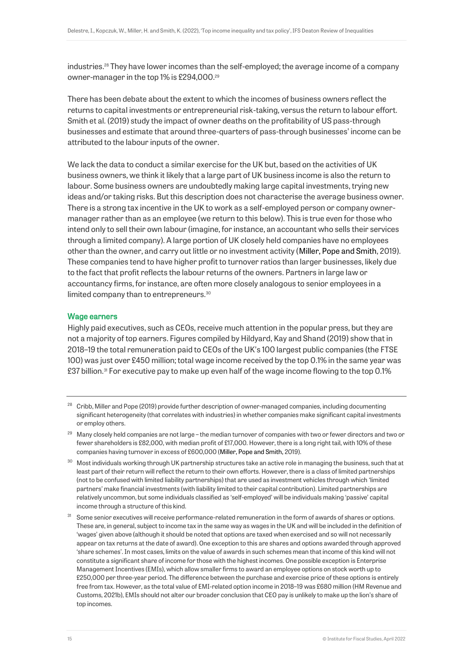industries.<sup>28</sup> They have lower incomes than the self-employed; the average income of a company owner-manager in the top 1% is £294,000.<sup>29</sup>

There has been debate about the extent to which the incomes of business owners reflect the returns to capital investments or entrepreneurial risk-taking, versus the return to labour effort. Smith et al. (2019) study the impact of owner deaths on the profitability of US pass-through businesses and estimate that around three-quarters of pass-through businesses' income can be attributed to the labour inputs of the owner.

We lack the data to conduct a similar exercise for the UK but, based on the activities of UK business owners, we think it likely that a large part of UK business income is also the return to labour. Some business owners are undoubtedly making large capital investments, trying new ideas and/or taking risks. But this description does not characterise the average business owner. There is a strong tax incentive in the UK to work as a self-employed person or company ownermanager rather than as an employee (we return to this below). This is true even for those who intend only to sell their own labour (imagine, for instance, an accountant who sells their services through a limited company). A large portion of UK closely held companies have no employees other than the owner, and carry out little or no investment activity (Miller, Pope and Smith, 2019). These companies tend to have higher profit to turnover ratios than larger businesses, likely due to the fact that profit reflects the labour returns of the owners. Partners in large law or accountancy firms, for instance, are often more closely analogous to senior employees in a limited company than to entrepreneurs.<sup>30</sup>

## Wage earners

Highly paid executives, such as CEOs, receive much attention in the popular press, but they are not a majority of top earners. Figures compiled by Hildyard, Kay and Shand (2019) show that in 2018–19 the total remuneration paid to CEOs of the UK's 100 largest public companies (the FTSE 100) was just over £450 million; total wage income received by the top 0.1% in the same year was £37 billion.<sup>31</sup> For executive pay to make up even half of the wage income flowing to the top 0.1%

- <sup>28</sup> Cribb. Miller and Pope (2019) provide further description of owner-managed companies, including documenting significant heterogeneity (that correlates with industries) in whether companies make significant capital investments or employ others.
- <sup>29</sup> Many closely held companies are not large the median turnover of companies with two or fewer directors and two or fewer shareholders is £82,000, with median profit of £17,000. However, there is a long right tail, with 10% of these companies having turnover in excess of £600,000 (Miller, Pope and Smith, 2019).
- 30 Most individuals working through UK partnership structures take an active role in managing the business, such that at least part of their return will reflect the return to their own efforts. However, there is a class of limited partnerships (not to be confused with limited liability partnerships) that are used as investment vehicles through which 'limited partners' make financial investments (with liability limited to their capital contribution). Limited partnerships are relatively uncommon, but some individuals classified as 'self-employed' will be individuals making 'passive' capital income through a structure of this kind.
- <sup>31</sup> Some senior executives will receive performance-related remuneration in the form of awards of shares or options. These are, in general, subject to income tax in the same way as wages in the UK and will be included in the definition of 'wages' given above (although it should be noted that options are taxed when exercised and so will not necessarily appear on tax returns at the date of award). One exception to this are shares and options awarded through approved 'share schemes'. In most cases, limits on the value of awards in such schemes mean that income of this kind will not constitute a significant share of income for those with the highest incomes. One possible exception is Enterprise Management Incentives (EMIs), which allow smaller firms to award an employee options on stock worth up to £250,000 per three-year period. The difference between the purchase and exercise price of these options is entirely free from tax. However, as the total value of EMI-related option income in 2018–19 was £680 million (HM Revenue and Customs, 2021b), EMIs should not alter our broader conclusion that CEO pay is unlikely to make up the lion's share of top incomes.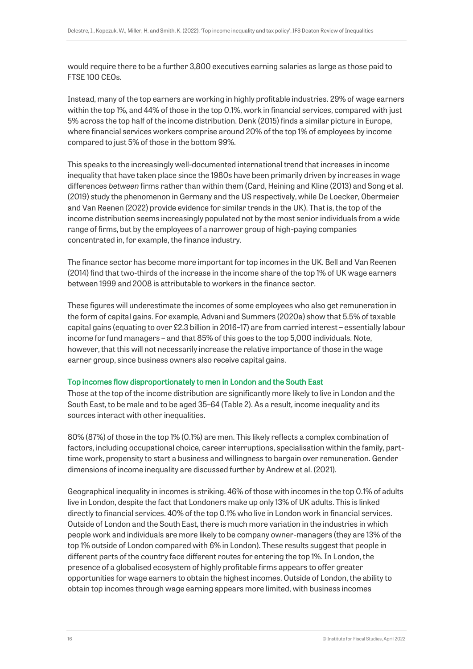would require there to be a further 3,800 executives earning salaries as large as those paid to FTSE 100 CEOs.

Instead, many of the top earners are working in highly profitable industries. 29% of wage earners within the top 1%, and 44% of those in the top 0.1%, work in financial services, compared with just 5% across the top half of the income distribution. Denk (2015) finds a similar picture in Europe, where financial services workers comprise around 20% of the top 1% of employees by income compared to just 5% of those in the bottom 99%.

This speaks to the increasingly well-documented international trend that increases in income inequality that have taken place since the 1980s have been primarily driven by increases in wage differences *between* firms rather than within them (Card, Heining and Kline (2013) and Song et al. (2019) study the phenomenon in Germany and the US respectively, while De Loecker, Obermeier and Van Reenen (2022) provide evidence for similar trends in the UK). That is, the top of the income distribution seems increasingly populated not by the most senior individuals from a wide range of firms, but by the employees of a narrower group of high-paying companies concentrated in, for example, the finance industry.

The finance sector has become more important for top incomes in the UK. Bell and Van Reenen (2014) find that two-thirds of the increase in the income share of the top 1% of UK wage earners between 1999 and 2008 is attributable to workers in the finance sector.

These figures will underestimate the incomes of some employees who also get remuneration in the form of capital gains. For example, Advani and Summers (2020a) show that 5.5% of taxable capital gains (equating to over £2.3 billion in 2016–17) are from carried interest – essentially labour income for fund managers – and that 85% of this goes to the top 5,000 individuals. Note, however, that this will not necessarily increase the relative importance of those in the wage earner group, since business owners also receive capital gains.

## Top incomes flow disproportionately to men in London and the South East

Those at the top of the income distribution are significantly more likely to live in London and the South East, to be male and to be aged 35–64 (Table 2). As a result, income inequality and its sources interact with other inequalities.

80% (87%) of those in the top 1% (0.1%) are men. This likely reflects a complex combination of factors, including occupational choice, career interruptions, specialisation within the family, parttime work, propensity to start a business and willingness to bargain over remuneration. Gender dimensions of income inequality are discussed further by Andrew et al. (2021).

Geographical inequality in incomes is striking. 46% of those with incomes in the top 0.1% of adults live in London, despite the fact that Londoners make up only 13% of UK adults. This is linked directly to financial services. 40% of the top 0.1% who live in London work in financial services. Outside of London and the South East, there is much more variation in the industries in which people work and individuals are more likely to be company owner-managers (they are 13% of the top 1% outside of London compared with 6% in London). These results suggest that people in different parts of the country face different routes for entering the top 1%. In London, the presence of a globalised ecosystem of highly profitable firms appears to offer greater opportunities for wage earners to obtain the highest incomes. Outside of London, the ability to obtain top incomes through wage earning appears more limited, with business incomes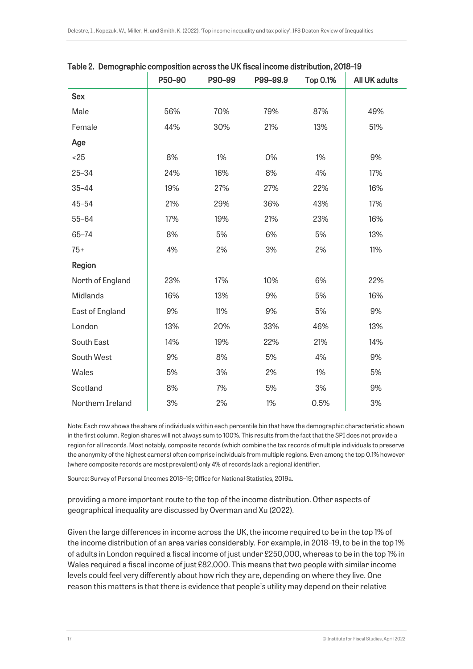| rable 2. Demographic composition across the OK histar income distribution, 2010 To | P50-90 | P90-99 | P99-99.9 | <b>Top 0.1%</b> | <b>All UK adults</b> |
|------------------------------------------------------------------------------------|--------|--------|----------|-----------------|----------------------|
| <b>Sex</b>                                                                         |        |        |          |                 |                      |
| Male                                                                               | 56%    | 70%    | 79%      | 87%             | 49%                  |
| Female                                                                             | 44%    | 30%    | 21%      | 13%             | 51%                  |
| Age                                                                                |        |        |          |                 |                      |
| < 25                                                                               | 8%     | 1%     | 0%       | 1%              | 9%                   |
| $25 - 34$                                                                          | 24%    | 16%    | 8%       | 4%              | 17%                  |
| $35 - 44$                                                                          | 19%    | 27%    | 27%      | 22%             | 16%                  |
| $45 - 54$                                                                          | 21%    | 29%    | 36%      | 43%             | 17%                  |
| $55 - 64$                                                                          | 17%    | 19%    | 21%      | 23%             | 16%                  |
| $65 - 74$                                                                          | 8%     | 5%     | 6%       | 5%              | 13%                  |
| $75+$                                                                              | 4%     | 2%     | 3%       | 2%              | 11%                  |
| Region                                                                             |        |        |          |                 |                      |
| North of England                                                                   | 23%    | 17%    | 10%      | 6%              | 22%                  |
| Midlands                                                                           | 16%    | 13%    | 9%       | 5%              | 16%                  |
| East of England                                                                    | 9%     | 11%    | 9%       | 5%              | 9%                   |
| London                                                                             | 13%    | 20%    | 33%      | 46%             | 13%                  |
| South East                                                                         | 14%    | 19%    | 22%      | 21%             | 14%                  |
| South West                                                                         | 9%     | 8%     | 5%       | 4%              | 9%                   |
| Wales                                                                              | 5%     | 3%     | 2%       | 1%              | 5%                   |
| Scotland                                                                           | 8%     | 7%     | 5%       | 3%              | 9%                   |
| Northern Ireland                                                                   | 3%     | 2%     | 1%       | 0.5%            | 3%                   |

Table 2. Demographic composition across the UK fiscal income distribution, 2018–19

Note: Each row shows the share of individuals within each percentile bin that have the demographic characteristic shown in the first column. Region shares will not always sum to 100%. This results from the fact that the SPI does not provide a region for all records. Most notably, composite records (which combine the tax records of multiple individuals to preserve the anonymity of the highest earners) often comprise individuals from multiple regions. Even among the top 0.1% however (where composite records are most prevalent) only 4% of records lack a regional identifier.

Source: Survey of Personal Incomes 2018–19; Office for National Statistics, 2019a.

providing a more important route to the top of the income distribution. Other aspects of geographical inequality are discussed by Overman and Xu (2022).

Given the large differences in income across the UK, the income required to be in the top 1% of the income distribution of an area varies considerably. For example, in 2018–19, to be in the top 1% of adults in London required a fiscal income of just under £250,000, whereas to be in the top 1% in Wales required a fiscal income of just £82,000. This means that two people with similar income levels could feel very differently about how rich they are, depending on where they live. One reason this matters is that there is evidence that people's utility may depend on their relative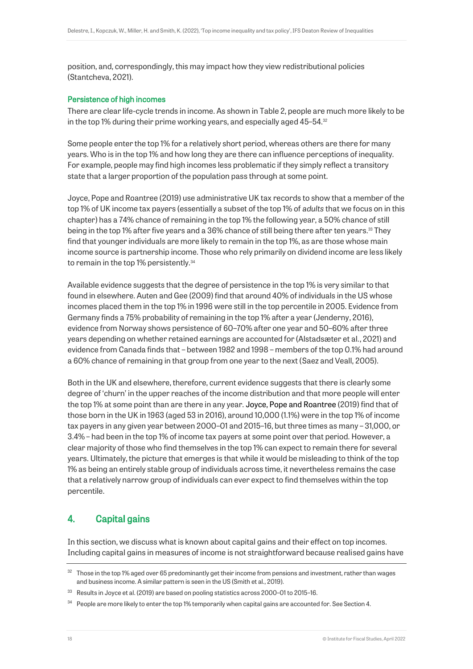position, and, correspondingly, this may impact how they view redistributional policies (Stantcheva, 2021).

## Persistence of high incomes

There are clear life-cycle trends in income. As shown in Table 2, people are much more likely to be in the top 1% during their prime working years, and especially aged 45–54.<sup>32</sup>

Some people enter the top 1% for a relatively short period, whereas others are there for many years. Who is in the top 1% and how long they are there can influence perceptions of inequality. For example, people may find high incomes less problematic if they simply reflect a transitory state that a larger proportion of the population pass through at some point.

Joyce, Pope and Roantree (2019) use administrative UK tax records to show that a member of the top 1% of UK income tax payers (essentially a subset of the top 1% of *adults* that we focus on in this chapter) has a 74% chance of remaining in the top 1% the following year, a 50% chance of still being in the top 1% after five years and a 36% chance of still being there after ten years.<sup>33</sup> They find that younger individuals are more likely to remain in the top 1%, as are those whose main income source is partnership income. Those who rely primarily on dividend income are less likely to remain in the top 1% persistently.<sup>34</sup>

Available evidence suggests that the degree of persistence in the top 1% is very similar to that found in elsewhere. Auten and Gee (2009) find that around 40% of individuals in the US whose incomes placed them in the top 1% in 1996 were still in the top percentile in 2005. Evidence from Germany finds a 75% probability of remaining in the top 1% after a year (Jenderny, 2016), evidence from Norway shows persistence of 60–70% after one year and 50–60% after three years depending on whether retained earnings are accounted for (Alstadsæter et al., 2021) and evidence from Canada finds that – between 1982 and 1998 – members of the top 0.1% had around a 60% chance of remaining in that group from one year to the next (Saez and Veall, 2005).

Both in the UK and elsewhere, therefore, current evidence suggests that there is clearly some degree of 'churn' in the upper reaches of the income distribution and that more people will enter the top 1% at some point than are there in any year. Joyce, Pope and Roantree (2019) find that of those born in the UK in 1963 (aged 53 in 2016), around 10,000 (1.1%) were in the top 1% of income tax payers in any given year between 2000–01 and 2015–16, but three times as many – 31,000, or 3.4% – had been in the top 1% of income tax payers at some point over that period. However, a clear majority of those who find themselves in the top 1% can expect to remain there for several years. Ultimately, the picture that emerges is that while it would be misleading to think of the top 1% as being an entirely stable group of individuals across time, it nevertheless remains the case that a relatively narrow group of individuals can ever expect to find themselves within the top percentile.

# 4. Capital gains

In this section, we discuss what is known about capital gains and their effect on top incomes. Including capital gains in measures of income is not straightforward because realised gains have

<sup>&</sup>lt;sup>32</sup> Those in the top 1% aged over 65 predominantly get their income from pensions and investment, rather than wages and business income. A similar pattern is seen in the US (Smith et al., 2019).

<sup>33</sup> Results in Joyce et al. (2019) are based on pooling statistics across 2000–01 to 2015–16.

<sup>&</sup>lt;sup>34</sup> People are more likely to enter the top 1% temporarily when capital gains are accounted for. See Section 4.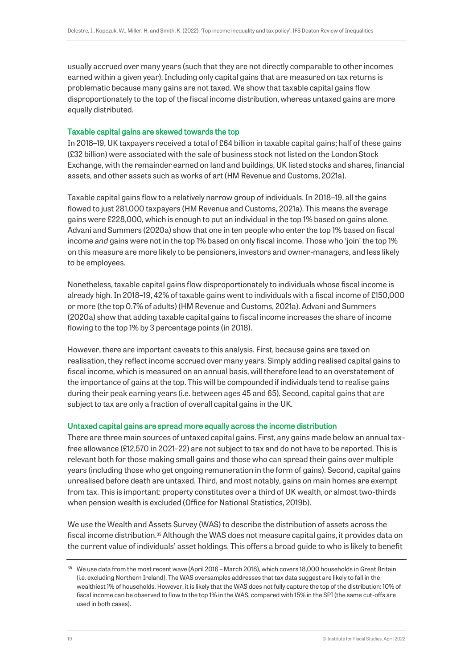usually accrued over many years (such that they are not directly comparable to other incomes earned within a given year). Including only capital gains that are measured on tax returns is problematic because many gains are not taxed. We show that taxable capital gains flow disproportionately to the top of the fiscal income distribution, whereas untaxed gains are more equally distributed.

## Taxable capital gains are skewed towards the top

In 2018–19, UK taxpayers received a total of £64 billion in taxable capital gains; half of these gains (£32 billion) were associated with the sale of business stock not listed on the London Stock Exchange, with the remainder earned on land and buildings, UK listed stocks and shares, financial assets, and other assets such as works of art (HM Revenue and Customs, 2021a).

Taxable capital gains flow to a relatively narrow group of individuals. In 2018–19, all the gains flowed to just 281,000 taxpayers (HM Revenue and Customs, 2021a). This means the average gains were £228,000, which is enough to put an individual in the top 1% based on gains alone. Advani and Summers (2020a) show that one in ten people who enter the top 1% based on fiscal income *and* gains were not in the top 1% based on only fiscal income. Those who 'join' the top 1% on this measure are more likely to be pensioners, investors and owner-managers, and less likely to be employees.

Nonetheless, taxable capital gains flow disproportionately to individuals whose fiscal income is already high. In 2018–19, 42% of taxable gains went to individuals with a fiscal income of £150,000 or more (the top 0.7% of adults) (HM Revenue and Customs, 2021a). Advani and Summers (2020a) show that adding taxable capital gains to fiscal income increases the share of income flowing to the top 1% by 3 percentage points (in 2018).

However, there are important caveats to this analysis. First, because gains are taxed on realisation, they reflect income accrued over many years. Simply adding realised capital gains to fiscal income, which is measured on an annual basis, will therefore lead to an overstatement of the importance of gains at the top. This will be compounded if individuals tend to realise gains during their peak earning years (i.e. between ages 45 and 65). Second, capital gains that are subject to tax are only a fraction of overall capital gains in the UK.

## Untaxed capital gains are spread more equally across the income distribution

There are three main sources of untaxed capital gains. First, any gains made below an annual taxfree allowance (£12,570 in 2021–22) are not subject to tax and do not have to be reported. This is relevant both for those making small gains and those who can spread their gains over multiple years (including those who get ongoing remuneration in the form of gains). Second, capital gains unrealised before death are untaxed. Third, and most notably, gains on main homes are exempt from tax. This is important: property constitutes over a third of UK wealth, or almost two-thirds when pension wealth is excluded (Office for National Statistics, 2019b).

We use the Wealth and Assets Survey (WAS) to describe the distribution of assets across the fiscal income distribution.<sup>35</sup> Although the WAS does not measure capital gains, it provides data on the current value of individuals' asset holdings. This offers a broad guide to who is likely to benefit

 $35$  We use data from the most recent wave (April 2016 – March 2018), which covers 18,000 households in Great Britain (i.e. excluding Northern Ireland). The WAS oversamples addresses that tax data suggest are likely to fall in the wealthiest 1% of households. However, it is likely that the WAS does not fully capture the top of the distribution: 10% of fiscal income can be observed to flow to the top 1% in the WAS, compared with 15% in the SPI (the same cut-offs are used in both cases).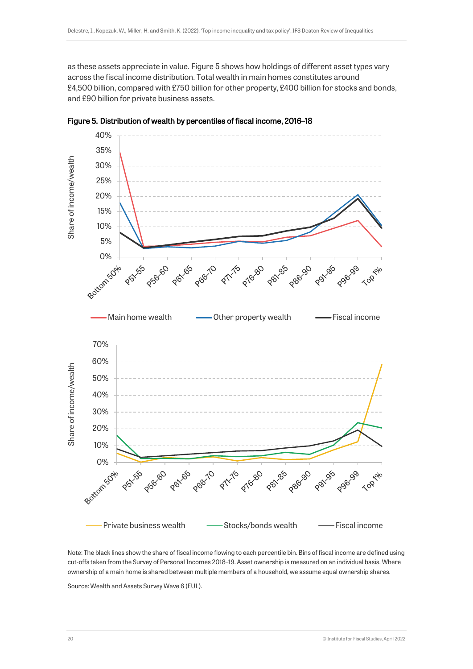as these assets appreciate in value. Figure 5 shows how holdings of different asset types vary across the fiscal income distribution. Total wealth in main homes constitutes around £4,500 billion, compared with £750 billion for other property, £400 billion for stocks and bonds, and £90 billion for private business assets.





Note: The black lines show the share of fiscal income flowing to each percentile bin. Bins of fiscal income are defined using cut-offs taken from the Survey of Personal Incomes 2018–19. Asset ownership is measured on an individual basis. Where ownership of a main home is shared between multiple members of a household, we assume equal ownership shares.

Source: Wealth and Assets Survey Wave 6 (EUL).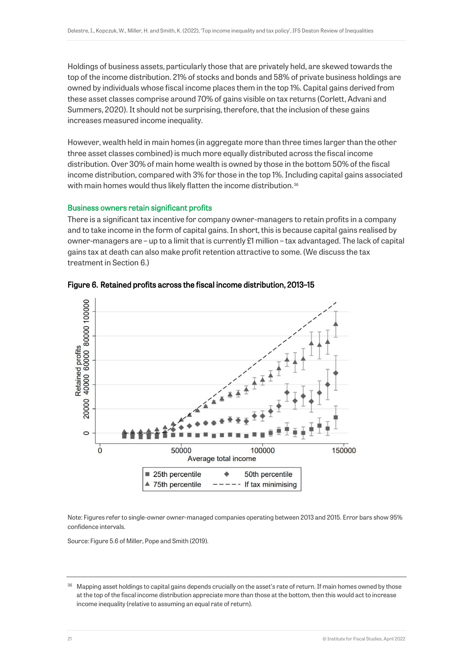Holdings of business assets, particularly those that are privately held, are skewed towards the top of the income distribution. 21% of stocks and bonds and 58% of private business holdings are owned by individuals whose fiscal income places them in the top 1%. Capital gains derived from these asset classes comprise around 70% of gains visible on tax returns (Corlett, Advani and Summers, 2020). It should not be surprising, therefore, that the inclusion of these gains increases measured income inequality.

However, wealth held in main homes (in aggregate more than three times larger than the other three asset classes combined) is much more equally distributed across the fiscal income distribution. Over 30% of main home wealth is owned by those in the bottom 50% of the fiscal income distribution, compared with 3% for those in the top 1%. Including capital gains associated with main homes would thus likely flatten the income distribution.<sup>36</sup>

#### Business owners retain significant profits

There is a significant tax incentive for company owner-managers to retain profits in a company and to take income in the form of capital gains. In short, this is because capital gains realised by owner-managers are – up to a limit that is currently £1 million – tax advantaged. The lack of capital gains tax at death can also make profit retention attractive to some. (We discuss the tax treatment in Section 6.)





Note: Figures refer to single-owner owner-managed companies operating between 2013 and 2015. Error bars show 95% confidence intervals.

Source: Figure 5.6 of Miller, Pope and Smith (2019).

Mapping asset holdings to capital gains depends crucially on the asset's rate of return. If main homes owned by those at the top of the fiscal income distribution appreciate more than those at the bottom, then this would act to increase income inequality (relative to assuming an equal rate of return).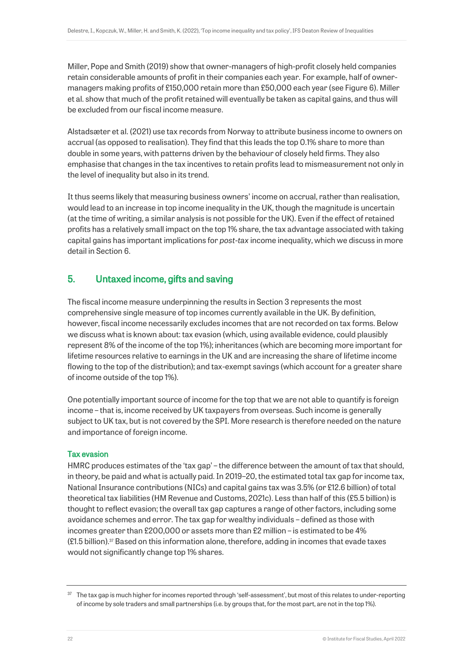Miller, Pope and Smith (2019) show that owner-managers of high-profit closely held companies retain considerable amounts of profit in their companies each year. For example, half of ownermanagers making profits of £150,000 retain more than £50,000 each year (see Figure 6). Miller et al. show that much of the profit retained will eventually be taken as capital gains, and thus will be excluded from our fiscal income measure.

Alstadsæter et al. (2021) use tax records from Norway to attribute business income to owners on accrual (as opposed to realisation). They find that this leads the top 0.1% share to more than double in some years, with patterns driven by the behaviour of closely held firms. They also emphasise that changes in the tax incentives to retain profits lead to mismeasurement not only in the level of inequality but also in its trend.

It thus seems likely that measuring business owners' income on accrual, rather than realisation, would lead to an increase in top income inequality in the UK, though the magnitude is uncertain (at the time of writing, a similar analysis is not possible for the UK). Even if the effect of retained profits has a relatively small impact on the top 1% share, the tax advantage associated with taking capital gains has important implications for *post-tax* income inequality, which we discuss in more detail in Section 6.

# 5. Untaxed income, gifts and saving

The fiscal income measure underpinning the results in Section 3 represents the most comprehensive single measure of top incomes currently available in the UK. By definition, however, fiscal income necessarily excludes incomes that are not recorded on tax forms. Below we discuss what is known about: tax evasion (which, using available evidence, could plausibly represent 8% of the income of the top 1%); inheritances (which are becoming more important for lifetime resources relative to earnings in the UK and are increasing the share of lifetime income flowing to the top of the distribution); and tax-exempt savings (which account for a greater share of income outside of the top 1%).

One potentially important source of income for the top that we are not able to quantify is foreign income – that is, income received by UK taxpayers from overseas. Such income is generally subject to UK tax, but is not covered by the SPI. More research is therefore needed on the nature and importance of foreign income.

## Tax evasion

HMRC produces estimates of the 'tax gap' – the difference between the amount of tax that should, in theory, be paid and what is actually paid. In 2019–20, the estimated total tax gap for income tax, National Insurance contributions (NICs) and capital gains tax was 3.5% (or £12.6 billion) of total theoretical tax liabilities (HM Revenue and Customs, 2021c). Less than half of this (£5.5 billion) is thought to reflect evasion; the overall tax gap captures a range of other factors, including some avoidance schemes and error. The tax gap for wealthy individuals – defined as those with incomes greater than £200,000 or assets more than £2 million – is estimated to be 4%  $(E1.5$  billion).<sup>37</sup> Based on this information alone, therefore, adding in incomes that evade taxes would not significantly change top 1% shares.

<sup>&</sup>lt;sup>37</sup> The tax gap is much higher for incomes reported through 'self-assessment', but most of this relates to under-reporting of income by sole traders and small partnerships (i.e. by groups that, for the most part, are not in the top 1%).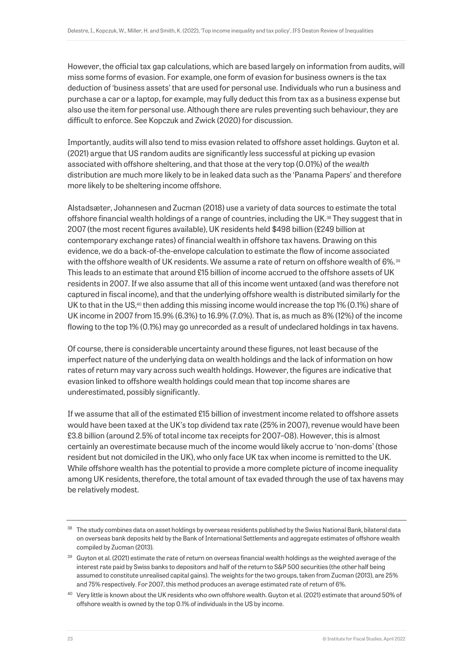However, the official tax gap calculations, which are based largely on information from audits, will miss some forms of evasion. For example, one form of evasion for business owners is the tax deduction of 'business assets' that are used for personal use. Individuals who run a business and purchase a car or a laptop, for example, may fully deduct this from tax as a business expense but also use the item for personal use. Although there are rules preventing such behaviour, they are difficult to enforce. See Kopczuk and Zwick (2020) for discussion.

Importantly, audits will also tend to miss evasion related to offshore asset holdings. Guyton et al. (2021) argue that US random audits are significantly less successful at picking up evasion associated with offshore sheltering, and that those at the very top (0.01%) of the *wealth*  distribution are much more likely to be in leaked data such as the 'Panama Papers' and therefore more likely to be sheltering income offshore.

Alstadsæter, Johannesen and Zucman (2018) use a variety of data sources to estimate the total offshore financial wealth holdings of a range of countries, including the UK.<sup>38</sup> They suggest that in 2007 (the most recent figures available), UK residents held \$498 billion (£249 billion at contemporary exchange rates) of financial wealth in offshore tax havens. Drawing on this evidence, we do a back-of-the-envelope calculation to estimate the flow of income associated with the offshore wealth of UK residents. We assume a rate of return on offshore wealth of 6%.<sup>39</sup> This leads to an estimate that around £15 billion of income accrued to the offshore assets of UK residents in 2007. If we also assume that all of this income went untaxed (and was therefore not captured in fiscal income), and that the underlying offshore wealth is distributed similarly for the UK to that in the US,<sup>40</sup> then adding this missing income would increase the top 1% (0.1%) share of UK income in 2007 from 15.9% (6.3%) to 16.9% (7.0%). That is, as much as 8% (12%) of the income flowing to the top 1% (0.1%) may go unrecorded as a result of undeclared holdings in tax havens.

Of course, there is considerable uncertainty around these figures, not least because of the imperfect nature of the underlying data on wealth holdings and the lack of information on how rates of return may vary across such wealth holdings. However, the figures are indicative that evasion linked to offshore wealth holdings could mean that top income shares are underestimated, possibly significantly.

If we assume that all of the estimated £15 billion of investment income related to offshore assets would have been taxed at the UK's top dividend tax rate (25% in 2007), revenue would have been £3.8 billion (around 2.5% of total income tax receipts for 2007–08). However, this is almost certainly an overestimate because much of the income would likely accrue to 'non-doms' (those resident but not domiciled in the UK), who only face UK tax when income is remitted to the UK. While offshore wealth has the potential to provide a more complete picture of income inequality among UK residents, therefore, the total amount of tax evaded through the use of tax havens may be relatively modest.

 $38$  The study combines data on asset holdings by overseas residents published by the Swiss National Bank, bilateral data on overseas bank deposits held by the Bank of International Settlements and aggregate estimates of offshore wealth compiled by Zucman (2013).

<sup>&</sup>lt;sup>39</sup> Guyton et al. (2021) estimate the rate of return on overseas financial wealth holdings as the weighted average of the interest rate paid by Swiss banks to depositors and half of the return to S&P 500 securities (the other half being assumed to constitute unrealised capital gains). The weights for the two groups, taken from Zucman (2013), are 25% and 75% respectively. For 2007, this method produces an average estimated rate of return of 6%.

<sup>40</sup> Very little is known about the UK residents who own offshore wealth. Guyton et al. (2021) estimate that around 50% of offshore wealth is owned by the top 0.1% of individuals in the US by income.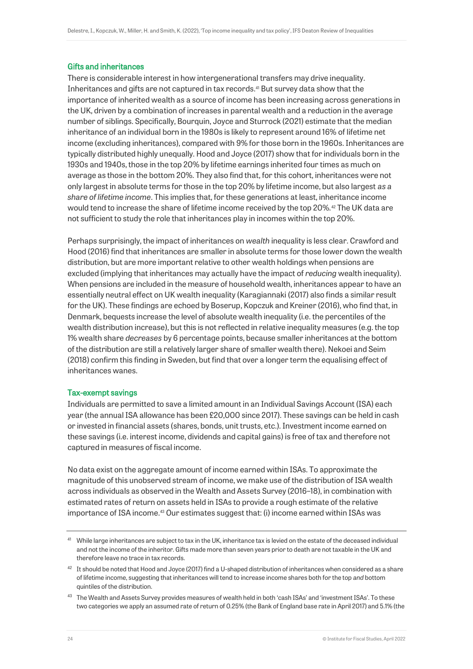## Gifts and inheritances

There is considerable interest in how intergenerational transfers may drive inequality. Inheritances and gifts are not captured in tax records.<sup>41</sup> But survey data show that the importance of inherited wealth as a source of income has been increasing across generations in the UK, driven by a combination of increases in parental wealth and a reduction in the average number of siblings. Specifically, Bourquin, Joyce and Sturrock (2021) estimate that the median inheritance of an individual born in the 1980s is likely to represent around 16% of lifetime net income (excluding inheritances), compared with 9% for those born in the 1960s. Inheritances are typically distributed highly unequally. Hood and Joyce (2017) show that for individuals born in the 1930s and 1940s, those in the top 20% by lifetime earnings inherited four times as much on average as those in the bottom 20%. They also find that, for this cohort, inheritances were not only largest in absolute terms for those in the top 20% by lifetime income, but also largest *as a share of lifetime income*. This implies that, for these generations at least, inheritance income would tend to increase the share of lifetime income received by the top 20%.<sup>42</sup> The UK data are not sufficient to study the role that inheritances play in incomes within the top 20%.

Perhaps surprisingly, the impact of inheritances on *wealth* inequality is less clear. Crawford and Hood (2016) find that inheritances are smaller in absolute terms for those lower down the wealth distribution, but are more important relative to other wealth holdings when pensions are excluded (implying that inheritances may actually have the impact of *reducing* wealth inequality). When pensions are included in the measure of household wealth, inheritances appear to have an essentially neutral effect on UK wealth inequality (Karagiannaki (2017) also finds a similar result for the UK). These findings are echoed by Boserup, Kopczuk and Kreiner (2016), who find that, in Denmark, bequests increase the level of absolute wealth inequality (i.e. the percentiles of the wealth distribution increase), but this is not reflected in relative inequality measures (e.g. the top 1% wealth share *decreases* by 6 percentage points, because smaller inheritances at the bottom of the distribution are still a relatively larger share of smaller wealth there). Nekoei and Seim (2018) confirm this finding in Sweden, but find that over a longer term the equalising effect of inheritances wanes.

## Tax-exempt savings

Individuals are permitted to save a limited amount in an Individual Savings Account (ISA) each year (the annual ISA allowance has been £20,000 since 2017). These savings can be held in cash or invested in financial assets (shares, bonds, unit trusts, etc.). Investment income earned on these savings (i.e. interest income, dividends and capital gains) is free of tax and therefore not captured in measures of fiscal income.

No data exist on the aggregate amount of income earned within ISAs. To approximate the magnitude of this unobserved stream of income, we make use of the distribution of ISA wealth across individuals as observed in the Wealth and Assets Survey (2016–18), in combination with estimated rates of return on assets held in ISAs to provide a rough estimate of the relative importance of ISA income.<sup>43</sup> Our estimates suggest that: (i) income earned within ISAs was

<sup>&</sup>lt;sup>41</sup> While large inheritances are subject to tax in the UK, inheritance tax is levied on the estate of the deceased individual and not the income of the inheritor. Gifts made more than seven years prior to death are not taxable in the UK and therefore leave no trace in tax records.

 $42$  It should be noted that Hood and Joyce (2017) find a U-shaped distribution of inheritances when considered as a share of lifetime income, suggesting that inheritances will tend to increase income shares both for the top *and* bottom quintiles of the distribution.

<sup>&</sup>lt;sup>43</sup> The Wealth and Assets Survey provides measures of wealth held in both 'cash ISAs' and 'investment ISAs'. To these two categories we apply an assumed rate of return of 0.25% (the Bank of England base rate in April 2017) and 5.1% (the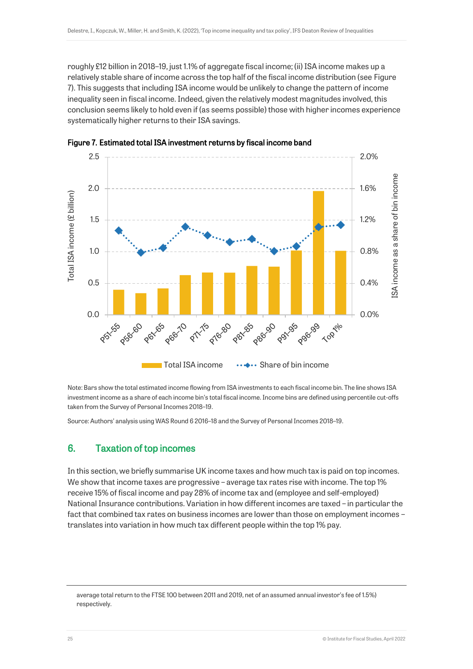roughly £12 billion in 2018–19, just 1.1% of aggregate fiscal income; (ii) ISA income makes up a relatively stable share of income across the top half of the fiscal income distribution (see Figure 7). This suggests that including ISA income would be unlikely to change the pattern of income inequality seen in fiscal income. Indeed, given the relatively modest magnitudes involved, this conclusion seems likely to hold even if (as seems possible) those with higher incomes experience systematically higher returns to their ISA savings.





Note: Bars show the total estimated income flowing from ISA investments to each fiscal income bin. The line shows ISA investment income as a share of each income bin's total fiscal income. Income bins are defined using percentile cut-offs taken from the Survey of Personal Incomes 2018–19.

Source: Authors' analysis using WAS Round 6 2016–18 and the Survey of Personal Incomes 2018–19.

## 6. Taxation of top incomes

In this section, we briefly summarise UK income taxes and how much tax is paid on top incomes. We show that income taxes are progressive – average tax rates rise with income. The top 1% receive 15% of fiscal income and pay 28% of income tax and (employee and self-employed) National Insurance contributions. Variation in how different incomes are taxed – in particular the fact that combined tax rates on business incomes are lower than those on employment incomes – translates into variation in how much tax different people within the top 1% pay.

average total return to the FTSE 100 between 2011 and 2019, net of an assumed annual investor's fee of 1.5%) respectively.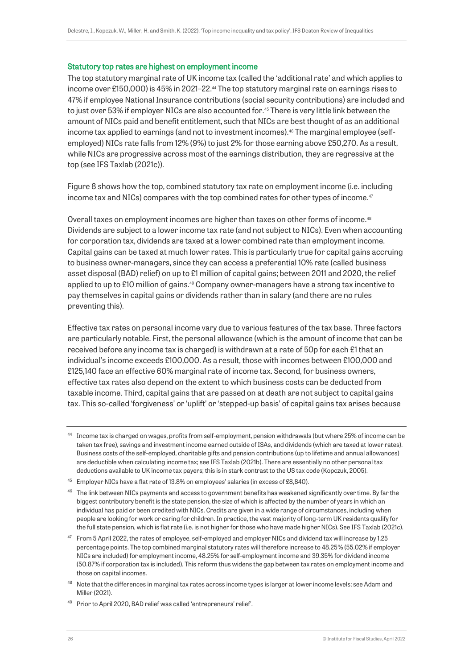#### Statutory top rates are highest on employment income

The top statutory marginal rate of UK income tax (called the 'additional rate' and which applies to income over £150,000) is 45% in 2021–22.<sup>44</sup> The top statutory marginal rate on earnings rises to 47% if employee National Insurance contributions (social security contributions) are included and to just over 53% if employer NICs are also accounted for.<sup>45</sup> There is very little link between the amount of NICs paid and benefit entitlement, such that NICs are best thought of as an additional income tax applied to earnings (and not to investment incomes).<sup>46</sup> The marginal employee (selfemployed) NICs rate falls from 12% (9%) to just 2% for those earning above £50,270. As a result, while NICs are progressive across most of the earnings distribution, they are regressive at the top (see IFS Taxlab (2021c)).

Figure 8 shows how the top, combined statutory tax rate on employment income (i.e. including income tax and NICs) compares with the top combined rates for other types of income.<sup>47</sup>

Overall taxes on employment incomes are higher than taxes on other forms of income.<sup>48</sup> Dividends are subject to a lower income tax rate (and not subject to NICs). Even when accounting for corporation tax, dividends are taxed at a lower combined rate than employment income. Capital gains can be taxed at much lower rates. This is particularly true for capital gains accruing to business owner-managers, since they can access a preferential 10% rate (called business asset disposal (BAD) relief) on up to £1 million of capital gains; between 2011 and 2020, the relief applied to up to £10 million of gains.<sup>49</sup> Company owner-managers have a strong tax incentive to pay themselves in capital gains or dividends rather than in salary (and there are no rules preventing this).

Effective tax rates on personal income vary due to various features of the tax base. Three factors are particularly notable. First, the personal allowance (which is the amount of income that can be received before any income tax is charged) is withdrawn at a rate of 50p for each £1 that an individual's income exceeds £100,000. As a result, those with incomes between £100,000 and £125,140 face an effective 60% marginal rate of income tax. Second, for business owners, effective tax rates also depend on the extent to which business costs can be deducted from taxable income. Third, capital gains that are passed on at death are not subject to capital gains tax. This so-called 'forgiveness' or 'uplift' or 'stepped-up basis' of capital gains tax arises because

<sup>44</sup> Income tax is charged on wages, profits from self-employment, pension withdrawals (but where 25% of income can be taken tax free), savings and investment income earned outside of ISAs, and dividends (which are taxed at lower rates). Business costs of the self-employed, charitable gifts and pension contributions (up to lifetime and annual allowances) are deductible when calculating income tax; see IFS Taxlab (2021b). There are essentially no other personal tax deductions available to UK income tax payers; this is in stark contrast to the US tax code (Kopczuk, 2005).

<sup>&</sup>lt;sup>45</sup> Employer NICs have a flat rate of 13.8% on employees' salaries (in excess of £8,840).

<sup>&</sup>lt;sup>46</sup> The link between NICs payments and access to government benefits has weakened significantly over time. By far the biggest contributory benefit is the state pension, the size of which is affected by the number of years in which an individual has paid or been credited with NICs. Credits are given in a wide range of circumstances, including when people are looking for work or caring for children. In practice, the vast majority of long-term UK residents qualify for the full state pension, which is flat rate (i.e. is not higher for those who have made higher NICs). See IFS Taxlab (2021c).

<sup>47</sup> From 5 April 2022, the rates of employee, self-employed and employer NICs and dividend tax will increase by 1.25 percentage points. The top combined marginal statutory rates will therefore increase to 48.25% (55.02% if employer NICs are included) for employment income, 48.25% for self-employment income and 39.35% for dividend income (50.87% if corporation tax is included). This reform thus widens the gap between tax rates on employment income and those on capital incomes.

<sup>&</sup>lt;sup>48</sup> Note that the differences in marginal tax rates across income types is larger at lower income levels; see Adam and Miller (2021).

<sup>49</sup> Prior to April 2020, BAD relief was called 'entrepreneurs' relief'.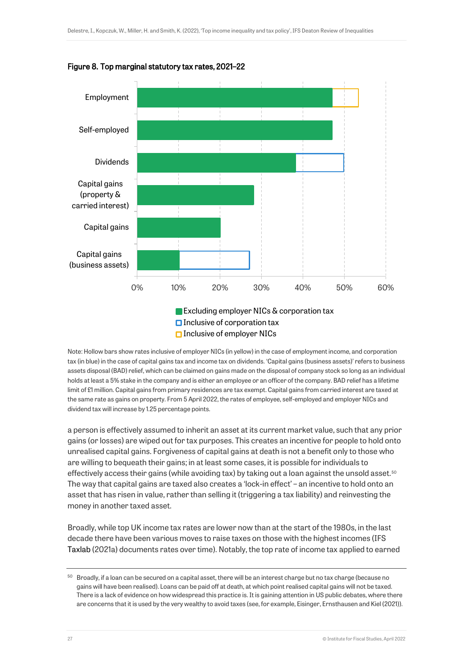

## Figure 8. Top marginal statutory tax rates, 2021–22

Note: Hollow bars show rates inclusive of employer NICs (in yellow) in the case of employment income, and corporation tax (in blue) in the case of capital gains tax and income tax on dividends. 'Capital gains (business assets)' refers to business assets disposal (BAD) relief, which can be claimed on gains made on the disposal of company stock so long as an individual holds at least a 5% stake in the company and is either an employee or an officer of the company. BAD relief has a lifetime limit of £1 million. Capital gains from primary residences are tax exempt. Capital gains from carried interest are taxed at the same rate as gains on property. From 5 April 2022, the rates of employee, self-employed and employer NICs and dividend tax will increase by 1.25 percentage points.

a person is effectively assumed to inherit an asset at its current market value, such that any prior gains (or losses) are wiped out for tax purposes. This creates an incentive for people to hold onto unrealised capital gains. Forgiveness of capital gains at death is not a benefit only to those who are willing to bequeath their gains; in at least some cases, it is possible for individuals to effectively access their gains (while avoiding tax) by taking out a loan against the unsold asset.<sup>50</sup> The way that capital gains are taxed also creates a 'lock-in effect' – an incentive to hold onto an asset that has risen in value, rather than selling it (triggering a tax liability) and reinvesting the money in another taxed asset.

Broadly, while top UK income tax rates are lower now than at the start of the 1980s, in the last decade there have been various moves to raise taxes on those with the highest incomes (IFS Taxlab (2021a) documents rates over time). Notably, the top rate of income tax applied to earned

 $50$  Broadly, if a loan can be secured on a capital asset, there will be an interest charge but no tax charge (because no gains will have been realised). Loans can be paid off at death, at which point realised capital gains will not be taxed. There is a lack of evidence on how widespread this practice is. It is gaining attention in US public debates, where there are concerns that it is used by the very wealthy to avoid taxes (see, for example, Eisinger, Ernsthausen and Kiel (2021)).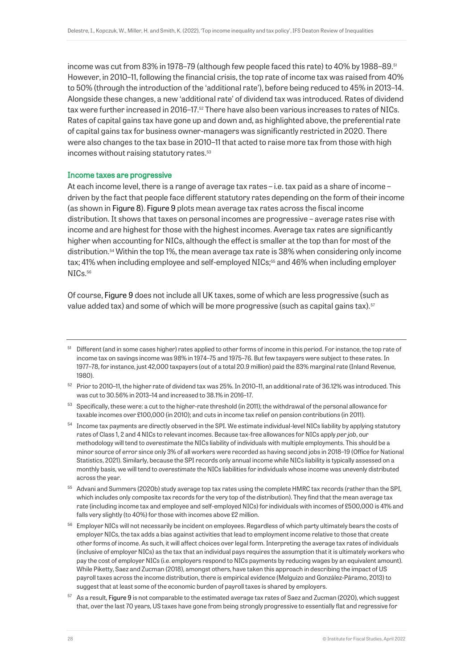income was cut from 83% in 1978–79 (although few people faced this rate) to 40% by 1988–89.<sup>51</sup> However, in 2010–11, following the financial crisis, the top rate of income tax was raised from 40% to 50% (through the introduction of the 'additional rate'), before being reduced to 45% in 2013–14. Alongside these changes, a new 'additional rate' of dividend tax was introduced. Rates of dividend tax were further increased in 2016–17.<sup>52</sup> There have also been various increases to rates of NICs. Rates of capital gains tax have gone up and down and, as highlighted above, the preferential rate of capital gains tax for business owner-managers was significantly restricted in 2020. There were also changes to the tax base in 2010–11 that acted to raise more tax from those with high incomes without raising statutory rates.<sup>53</sup>

## <span id="page-28-0"></span>Income taxes are progressive

At each income level, there is a range of average tax rates – i.e. tax paid as a share of income – driven by the fact that people face different statutory rates depending on the form of their income (as shown in Figure 8). Figure 9 plots mean average tax rates across the fiscal income distribution. It shows that taxes on personal incomes are progressive – average rates rise with income and are highest for those with the highest incomes. Average tax rates are significantly higher when accounting for NICs, although the effect is smaller at the top than for most of the distribution.<sup>54</sup> Within the top 1%, the mean average tax rate is 38% when considering only income tax; 41% when including employee and self-employed NICs;<sup>55</sup> and 46% when including employer NICs.<sup>56</sup>

<span id="page-28-1"></span>Of course, Figure 9 does not include all UK taxes, some of which are less progressive (such as value added tax) and some of which will be more progressive (such as capital gains tax).<sup>57</sup>

<sup>51</sup> Different (and in some cases higher) rates applied to other forms of income in this period. For instance, the top rate of income tax on savings income was 98% in 1974–75 and 1975–76. But few taxpayers were subject to these rates. In 1977–78, for instance, just 42,000 taxpayers (out of a total 20.9 million) paid the 83% marginal rate (Inland Revenue, 1980).

<sup>52</sup> Prior to 2010–11, the higher rate of dividend tax was 25%. In 2010–11, an additional rate of 36.12% was introduced. This was cut to 30.56% in 2013–14 and increased to 38.1% in 2016–17.

<sup>&</sup>lt;sup>53</sup> Specifically, these were: a cut to the higher-rate threshold (in 2011); the withdrawal of the personal allowance for taxable incomes over £100,000 (in 2010); and cuts in income tax relief on pension contributions (in 2011).

<sup>&</sup>lt;sup>54</sup> Income tax payments are directly observed in the SPI. We estimate individual-level NICs liability by applying statutory rates of Class 1, 2 and 4 NICs to relevant incomes. Because tax-free allowances for NICs apply *per job*, our methodology will tend to *overestimate* the NICs liability of individuals with multiple employments. This should be a minor source of error since only 3% of all workers were recorded as having second jobs in 2018–19 (Office for National Statistics, 2021). Similarly, because the SPI records only annual income while NICs liability is typically assessed on a monthly basis, we will tend to *overestimate* the NICs liabilities for individuals whose income was unevenly distributed across the year.

<sup>55</sup> Advani and Summers (2020b) study average top tax rates using the complete HMRC tax records (rather than the SPI, which includes only composite tax records for the very top of the distribution). They find that the mean average tax rate (including income tax and employee and self-employed NICs) for individuals with incomes of £500,000 is 41% and falls very slightly (to 40%) for those with incomes above £2 million.

<sup>&</sup>lt;sup>56</sup> Employer NICs will not necessarily be incident on employees. Regardless of which party ultimately bears the costs of employer NICs, the tax adds a bias against activities that lead to employment income relative to those that create other forms of income. As such, it will affect choices over legal form. Interpreting the average tax rates of individuals (inclusive of employer NICs) as the tax that an individual pays requires the assumption that it is ultimately workers who pay the cost of employer NICs (i.e. employers respond to NICs payments by reducing wages by an equivalent amount). While Piketty, Saez and Zucman (2018), amongst others, have taken this approach in describing the impact of US payroll taxes across the income distribution, there is empirical evidence (Melguizo and González-Páramo, 2013) to suggest that at least some of the economic burden of payroll taxes is shared by employers.

<sup>57</sup> As a result, Figure 9 is not comparable to the estimated average tax rates of Saez and Zucman (2020), which suggest that, over the last 70 years, US taxes have gone from being strongly progressive to essentially flat and regressive for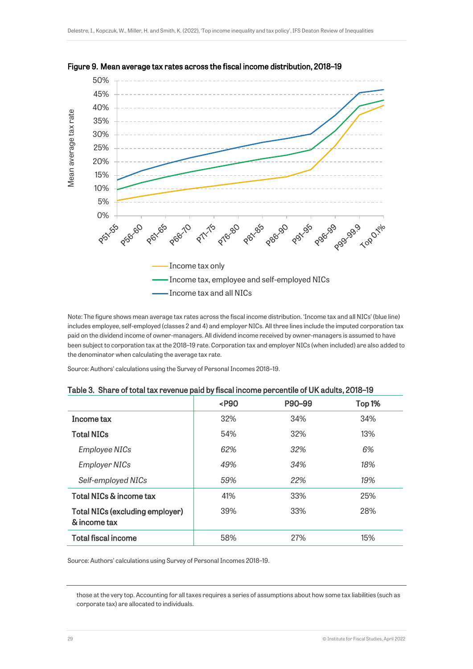



Note: The figure shows mean average tax rates across the fiscal income distribution. 'Income tax and all NICs' (blue line) includes employee, self-employed (classes 2 and 4) and employer NICs. All three lines include the imputed corporation tax paid on the dividend income of owner-managers. All dividend income received by owner-managers is assumed to have been subject to corporation tax at the 2018–19 rate. Corporation tax and employer NICs (when included) are also added to the denominator when calculating the average tax rate.

Source: Authors' calculations using the Survey of Personal Incomes 2018–19.

|                                                        | $<$ P $90$ | P90-99 | Top 1% |
|--------------------------------------------------------|------------|--------|--------|
| Income tax                                             | 32%        | 34%    | 34%    |
| <b>Total NICs</b>                                      | 54%        | 32%    | 13%    |
| <b>Employee NICs</b>                                   | 62%        | 32%    | 6%     |
| <b>Employer NICs</b>                                   | 49%        | 34%    | 18%    |
| Self-employed NICs                                     | 59%        | 22%    | 19%    |
| Total NICs & income tax                                | 41%        | 33%    | 25%    |
| <b>Total NICs (excluding employer)</b><br>& income tax | 39%        | 33%    | 28%    |
| <b>Total fiscal income</b>                             | 58%        | 27%    | 15%    |

|  | Table 3. Share of total tax revenue paid by fiscal income percentile of UK adults, 2018–19 |  |  |
|--|--------------------------------------------------------------------------------------------|--|--|
|  |                                                                                            |  |  |

Source: Authors' calculations using Survey of Personal Incomes 2018–19.

those at the very top. Accounting for all taxes requires a series of assumptions about how some tax liabilities (such as corporate tax) are allocated to individuals.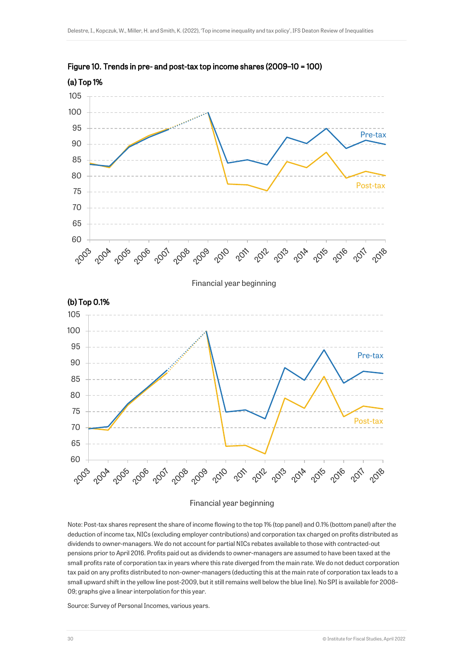



#### Financial year beginning

Note: Post-tax shares represent the share of income flowing to the top 1% (top panel) and 0.1% (bottom panel) after the deduction of income tax, NICs (excluding employer contributions) and corporation tax charged on profits distributed as dividends to owner-managers. We do not account for partial NICs rebates available to those with contracted-out pensions prior to April 2016. Profits paid out as dividends to owner-managers are assumed to have been taxed at the small profits rate of corporation tax in years where this rate diverged from the main rate. We do not deduct corporation tax paid on any profits distributed to non-owner-managers (deducting this at the main rate of corporation tax leads to a small upward shift in the yellow line post-2009, but it still remains well below the blue line). No SPI is available for 2008– 09; graphs give a linear interpolation for this year.

Source: Survey of Personal Incomes, various years.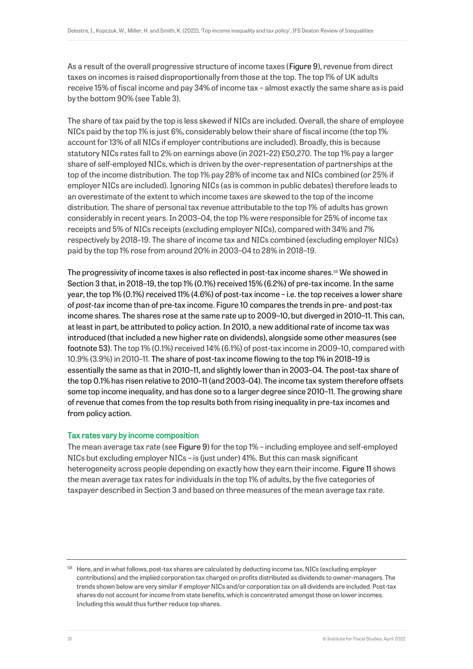As a result of the overall progressive structure of income taxes (Figure 9), revenue from direct taxes on incomes is raised disproportionally from those at the top. The top 1% of UK adults receive 15% of fiscal income and pay 34% of income tax – almost exactly the same share as is paid by the bottom 90% (see Table 3).

The share of tax paid by the top is less skewed if NICs are included. Overall, the share of employee NICs paid by the top 1% is just 6%, considerably below their share of fiscal income (the top 1% account for 13% of all NICs if employer contributions are included). Broadly, this is because statutory NICs rates fall to 2% on earnings above (in 2021–22) £50,270. The top 1% pay a larger share of self-employed NICs, which is driven by the over-representation of partnerships at the top of the income distribution. The top 1% pay 28% of income tax and NICs combined (or 25% if employer NICs are included). Ignoring NICs (as is common in public debates) therefore leads to an overestimate of the extent to which income taxes are skewed to the top of the income distribution. The share of personal tax revenue attributable to the top 1% of adults has grown considerably in recent years. In 2003–04, the top 1% were responsible for 25% of income tax receipts and 5% of NICs receipts (excluding employer NICs), compared with 34% and 7% respectively by 2018–19. The share of income tax and NICs combined (excluding employer NICs) paid by the top 1% rose from around 20% in 2003–04 to 28% in 2018–19.

The progressivity of income taxes is also reflected in post-tax income shares.<sup>58</sup> We showed in Section 3 that, in 2018–19, the top 1% (0.1%) received 15% (6.2%) of pre-tax income. In the same year, the top 1% (0.1%) received 11% (4.6%) of post-tax income – i.e. the top receives a lower share of *post-tax* income than of pre-tax income. Figure 10 compares the trends in pre- and post-tax income shares. The shares rose at the same rate up to 2009–10, but diverged in 2010–11. This can, at least in part, be attributed to policy action. In 2010, a new additional rate of income tax was introduced (that included a new higher rate on dividends), alongside some other measures (see footnot[e 53\)](#page-28-0). The top 1% (0.1%) received 14% (6.1%) of post-tax income in 2009–10, compared with 10.9% (3.9%) in 2010–11. The share of post-tax income flowing to the top 1% in 2018–19 is essentially the same as that in 2010–11, and slightly lower than in 2003–04. The post-tax share of the top 0.1% has risen relative to 2010–11 (and 2003–04). The income tax system therefore offsets some top income inequality, and has done so to a larger degree since 2010–11. The growing share of revenue that comes from the top results both from rising inequality in pre-tax incomes and from policy action.

## Tax rates vary by income composition

The mean average tax rate (see Figure 9) for the top 1% – including employee and self-employed NICs but excluding employer NICs – is (just under) 41%. But this can mask significant heterogeneity across people depending on exactly how they earn their income. Figure 11 shows the mean average tax rates for individuals in the top 1% of adults, by the five categories of taxpayer described in Section 3 and based on three measures of the mean average tax rate.

<sup>&</sup>lt;sup>58</sup> Here, and in what follows, post-tax shares are calculated by deducting income tax, NICs (excluding employer contributions) and the implied corporation tax charged on profits distributed as dividends to owner-managers. The trends shown below are very similar if employer NICs and/or corporation tax on all dividends are included. Post-tax shares do not account for income from state benefits, which is concentrated amongst those on lower incomes. Including this would thus further reduce top shares.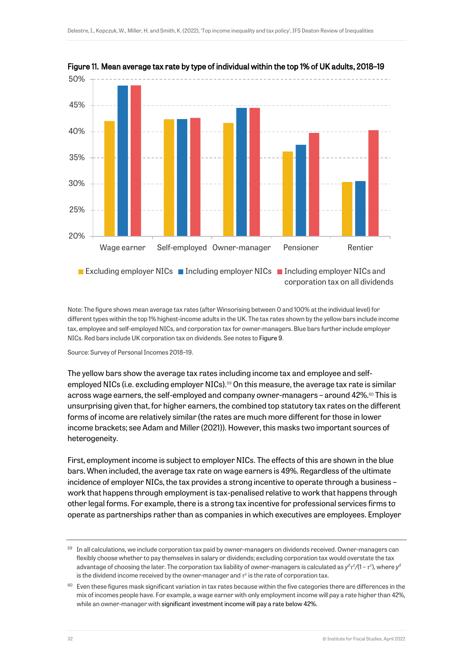

Figure 11. Mean average tax rate by type of individual within the top 1% of UK adults, 2018–19

**Excluding employer NICs Including employer NICs Including employer NICs and** corporation tax on all dividends

Note: The figure shows mean average tax rates (after Winsorising between 0 and 100% at the individual level) for different types within the top 1% highest-income adults in the UK. The tax rates shown by the yellow bars include income tax, employee and self-employed NICs, and corporation tax for owner-managers. Blue bars further include employer NICs. Red bars include UK corporation tax on dividends. See notes to Figure 9.

Source: Survey of Personal Incomes 2018–19.

<span id="page-32-0"></span>The yellow bars show the average tax rates including income tax and employee and selfemployed NICs (i.e. excluding employer NICs).<sup>59</sup> On this measure, the average tax rate is similar across wage earners, the self-employed and company owner-managers - around 42%.<sup>60</sup> This is unsurprising given that, for higher earners, the combined top statutory tax rates on the different forms of income are relatively similar (the rates are much more different for those in lower income brackets; see Adam and Miller (2021)). However, this masks two important sources of heterogeneity.

First, employment income is subject to employer NICs. The effects of this are shown in the blue bars. When included, the average tax rate on wage earners is 49%. Regardless of the ultimate incidence of employer NICs, the tax provides a strong incentive to operate through a business – work that happens through employment is tax-penalised relative to work that happens through other legal forms. For example, there is a strong tax incentive for professional services firms to operate as partnerships rather than as companies in which executives are employees. Employer

 $59$  In all calculations, we include corporation tax paid by owner-managers on dividends received. Owner-managers can flexibly choose whether to pay themselves in salary or dividends; excluding corporation tax would overstate the tax advantage of choosing the later. The corporation tax liability of owner-managers is calculated as  $y^d\tau^c/(1-\tau^c)$ , where  $y^c$ is the dividend income received by the owner-manager and  $\tau^c$  is the rate of corporation tax.

 $60$  Even these figures mask significant variation in tax rates because within the five categories there are differences in the mix of incomes people have. For example, a wage earner with only employment income will pay a rate higher than 42%, while an owner-manager with significant investment income will pay a rate below 42%.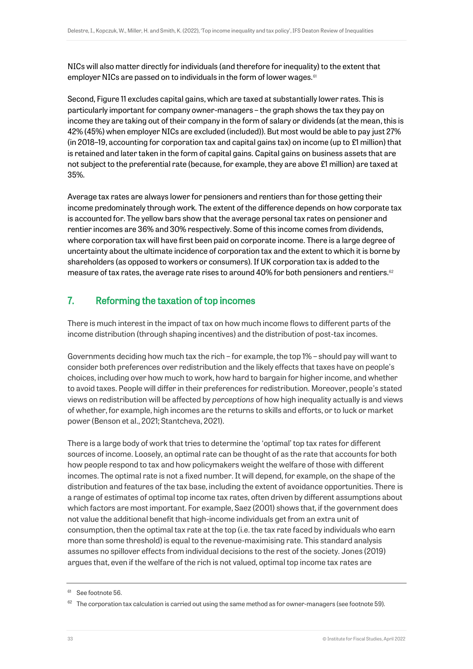NICs will also matter directly for individuals (and therefore for inequality) to the extent that employer NICs are passed on to individuals in the form of lower wages.<sup>61</sup>

Second, Figure 11 excludes capital gains, which are taxed at substantially lower rates. This is particularly important for company owner-managers – the graph shows the tax they pay on income they are taking out of their company in the form of salary or dividends (at the mean, this is 42% (45%) when employer NICs are excluded (included)). But most would be able to pay just 27% (in 2018–19, accounting for corporation tax and capital gains tax) on income (up to £1 million) that is retained and later taken in the form of capital gains. Capital gains on business assets that are not subject to the preferential rate (because, for example, they are above £1 million) are taxed at 35%.

Average tax rates are always lower for pensioners and rentiers than for those getting their income predominately through work. The extent of the difference depends on how corporate tax is accounted for. The yellow bars show that the average personal tax rates on pensioner and rentier incomes are 36% and 30% respectively. Some of this income comes from dividends, where corporation tax will have first been paid on corporate income. There is a large degree of uncertainty about the ultimate incidence of corporation tax and the extent to which it is borne by shareholders (as opposed to workers or consumers). If UK corporation tax is added to the measure of tax rates, the average rate rises to around 40% for both pensioners and rentiers.<sup>62</sup>

# 7. Reforming the taxation of top incomes

There is much interest in the impact of tax on how much income flows to different parts of the income distribution (through shaping incentives) and the distribution of post-tax incomes.

Governments deciding how much tax the rich – for example, the top 1% – should pay will want to consider both preferences over redistribution and the likely effects that taxes have on people's choices, including over how much to work, how hard to bargain for higher income, and whether to avoid taxes. People will differ in their preferences for redistribution. Moreover, people's stated views on redistribution will be affected by *perceptions* of how high inequality actually is and views of whether, for example, high incomes are the returns to skills and efforts, or to luck or market power (Benson et al., 2021; Stantcheva, 2021).

There is a large body of work that tries to determine the 'optimal' top tax rates for different sources of income. Loosely, an optimal rate can be thought of as the rate that accounts for both how people respond to tax and how policymakers weight the welfare of those with different incomes. The optimal rate is not a fixed number. It will depend, for example, on the shape of the distribution and features of the tax base, including the extent of avoidance opportunities. There is a range of estimates of optimal top income tax rates, often driven by different assumptions about which factors are most important. For example, Saez (2001) shows that, if the government does not value the additional benefit that high-income individuals get from an extra unit of consumption, then the optimal tax rate at the top (i.e. the tax rate faced by individuals who earn more than some threshold) is equal to the revenue-maximising rate. This standard analysis assumes no spillover effects from individual decisions to the rest of the society. Jones (2019) argues that, even if the welfare of the rich is not valued, optimal top income tax rates are

<sup>&</sup>lt;sup>61</sup> See footnot[e 56.](#page-28-1)

 $62$  The corporation tax calculation is carried out using the same method as for owner-managers (see footnot[e 59\)](#page-32-0).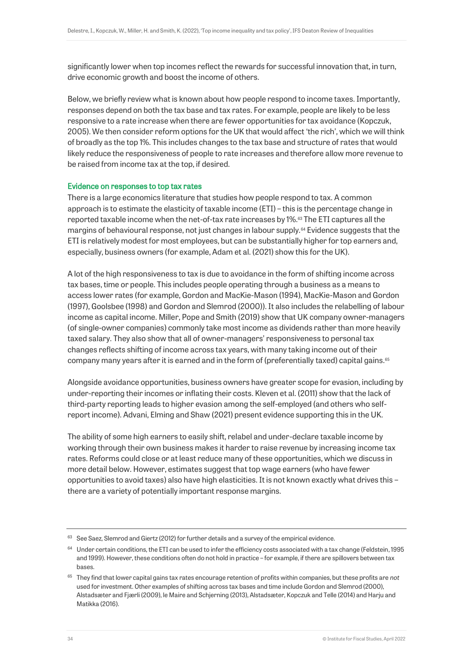significantly lower when top incomes reflect the rewards for successful innovation that, in turn, drive economic growth and boost the income of others.

Below, we briefly review what is known about how people respond to income taxes. Importantly, responses depend on both the tax base and tax rates. For example, people are likely to be less responsive to a rate increase when there are fewer opportunities for tax avoidance (Kopczuk, 2005). We then consider reform options for the UK that would affect 'the rich', which we will think of broadly as the top 1%. This includes changes to the tax base and structure of rates that would likely reduce the responsiveness of people to rate increases and therefore allow more revenue to be raised from income tax at the top, if desired.

## Evidence on responses to top tax rates

There is a large economics literature that studies how people respond to tax. A common approach is to estimate the elasticity of taxable income (ETI) – this is the percentage change in reported taxable income when the net-of-tax rate increases by 1%. <sup>63</sup> The ETI captures all the margins of behavioural response, not just changes in labour supply.<sup>64</sup> Evidence suggests that the ETI is relatively modest for most employees, but can be substantially higher for top earners and, especially, business owners (for example, Adam et al. (2021) show this for the UK).

A lot of the high responsiveness to tax is due to avoidance in the form of shifting income across tax bases, time or people. This includes people operating through a business as a means to access lower rates (for example, Gordon and MacKie-Mason (1994), MacKie-Mason and Gordon (1997), Goolsbee (1998) and Gordon and Slemrod (2000)). It also includes the relabelling of labour income as capital income. Miller, Pope and Smith (2019) show that UK company owner-managers (of single-owner companies) commonly take most income as dividends rather than more heavily taxed salary. They also show that all of owner-managers' responsiveness to personal tax changes reflects shifting of income across tax years, with many taking income out of their company many years after it is earned and in the form of (preferentially taxed) capital gains.<sup>65</sup>

Alongside avoidance opportunities, business owners have greater scope for evasion, including by under-reporting their incomes or inflating their costs. Kleven et al. (2011) show that the lack of third-party reporting leads to higher evasion among the self-employed (and others who selfreport income). Advani, Elming and Shaw (2021) present evidence supporting this in the UK.

The ability of some high earners to easily shift, relabel and under-declare taxable income by working through their own business makes it harder to raise revenue by increasing income tax rates. Reforms could close or at least reduce many of these opportunities, which we discuss in more detail below. However, estimates suggest that top wage earners (who have fewer opportunities to avoid taxes) also have high elasticities. It is not known exactly what drives this – there are a variety of potentially important response margins.

 $63$  See Saez, Slemrod and Giertz (2012) for further details and a survey of the empirical evidence.

 $64$  Under certain conditions, the ETI can be used to infer the efficiency costs associated with a tax change (Feldstein, 1995 and 1999). However, these conditions often do not hold in practice – for example, if there are spillovers between tax bases.

<sup>65</sup> They find that lower capital gains tax rates encourage retention of profits within companies, but these profits are *not*  used for investment. Other examples of shifting across tax bases and time include Gordon and Slemrod (2000), Alstadsæter and Fjærli (2009), le Maire and Schjerning (2013), Alstadsæter, Kopczuk and Telle (2014) and Harju and Matikka (2016).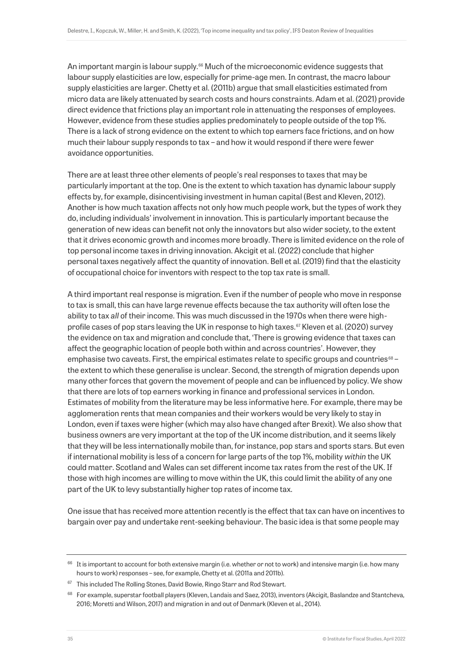An important margin is labour supply.<sup>66</sup> Much of the microeconomic evidence suggests that labour supply elasticities are low, especially for prime-age men. In contrast, the macro labour supply elasticities are larger. Chetty et al. (2011b) argue that small elasticities estimated from micro data are likely attenuated by search costs and hours constraints. Adam et al. (2021) provide direct evidence that frictions play an important role in attenuating the responses of employees. However, evidence from these studies applies predominately to people outside of the top 1%. There is a lack of strong evidence on the extent to which top earners face frictions, and on how much their labour supply responds to tax – and how it would respond if there were fewer avoidance opportunities.

There are at least three other elements of people's real responses to taxes that may be particularly important at the top. One is the extent to which taxation has dynamic labour supply effects by, for example, disincentivising investment in human capital (Best and Kleven, 2012). Another is how much taxation affects not only how much people work, but the types of work they do, including individuals' involvement in innovation. This is particularly important because the generation of new ideas can benefit not only the innovators but also wider society, to the extent that it drives economic growth and incomes more broadly. There is limited evidence on the role of top personal income taxes in driving innovation. Akcigit et al. (2022) conclude that higher personal taxes negatively affect the quantity of innovation. Bell et al. (2019) find that the elasticity of occupational choice for inventors with respect to the top tax rate is small.

A third important real response is migration. Even if the number of people who move in response to tax is small, this can have large revenue effects because the tax authority will often lose the ability to tax *all* of their income. This was much discussed in the 1970s when there were highprofile cases of pop stars leaving the UK in response to high taxes.<sup>67</sup> Kleven et al. (2020) survey the evidence on tax and migration and conclude that, 'There is growing evidence that taxes can affect the geographic location of people both within and across countries'. However, they emphasise two caveats. First, the empirical estimates relate to specific groups and countries $68$ the extent to which these generalise is unclear. Second, the strength of migration depends upon many other forces that govern the movement of people and can be influenced by policy. We show that there are lots of top earners working in finance and professional services in London. Estimates of mobility from the literature may be less informative here. For example, there may be agglomeration rents that mean companies and their workers would be very likely to stay in London, even if taxes were higher (which may also have changed after Brexit). We also show that business owners are very important at the top of the UK income distribution, and it seems likely that they will be less internationally mobile than, for instance, pop stars and sports stars. But even if international mobility is less of a concern for large parts of the top 1%, mobility *within* the UK could matter. Scotland and Wales can set different income tax rates from the rest of the UK. If those with high incomes are willing to move within the UK, this could limit the ability of any one part of the UK to levy substantially higher top rates of income tax.

One issue that has received more attention recently is the effect that tax can have on incentives to bargain over pay and undertake rent-seeking behaviour. The basic idea is that some people may

 $66$  It is important to account for both extensive margin (i.e. whether or not to work) and intensive margin (i.e. how many hours to work) responses – see, for example, Chetty et al. (2011a and 2011b).

<sup>&</sup>lt;sup>67</sup> This included The Rolling Stones, David Bowie, Ringo Starr and Rod Stewart.

<sup>68</sup> For example, superstar football players (Kleven, Landais and Saez, 2013), inventors (Akcigit, Baslandze and Stantcheva, 2016; Moretti and Wilson, 2017) and migration in and out of Denmark (Kleven et al., 2014).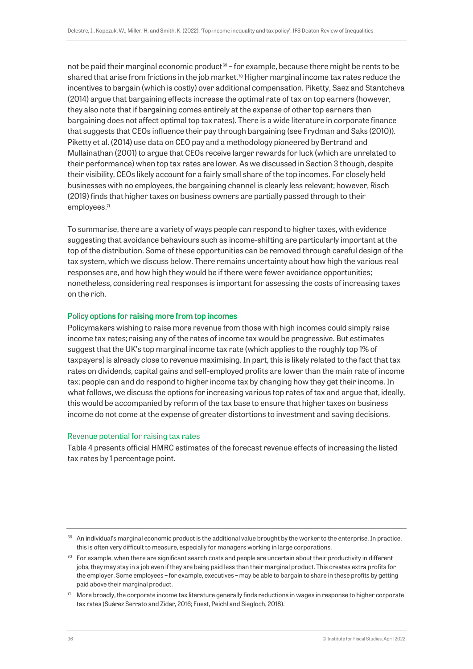not be paid their marginal economic product<sup>69</sup> – for example, because there might be rents to be shared that arise from frictions in the job market.<sup>70</sup> Higher marginal income tax rates reduce the incentives to bargain (which is costly) over additional compensation. Piketty, Saez and Stantcheva (2014) argue that bargaining effects increase the optimal rate of tax on top earners (however, they also note that if bargaining comes entirely at the expense of other top earners then bargaining does not affect optimal top tax rates). There is a wide literature in corporate finance that suggests that CEOs influence their pay through bargaining (see Frydman and Saks (2010)). Piketty et al. (2014) use data on CEO pay and a methodology pioneered by Bertrand and Mullainathan (2001) to argue that CEOs receive larger rewards for luck (which are unrelated to their performance) when top tax rates are lower. As we discussed in Section 3 though, despite their visibility, CEOs likely account for a fairly small share of the top incomes. For closely held businesses with no employees, the bargaining channel is clearly less relevant; however, Risch (2019) finds that higher taxes on business owners are partially passed through to their employees. 71

To summarise, there are a variety of ways people can respond to higher taxes, with evidence suggesting that avoidance behaviours such as income-shifting are particularly important at the top of the distribution. Some of these opportunities can be removed through careful design of the tax system, which we discuss below. There remains uncertainty about how high the various real responses are, and how high they would be if there were fewer avoidance opportunities; nonetheless, considering real responses is important for assessing the costs of increasing taxes on the rich.

## Policy options for raising more from top incomes

Policymakers wishing to raise more revenue from those with high incomes could simply raise income tax rates; raising any of the rates of income tax would be progressive. But estimates suggest that the UK's top marginal income tax rate (which applies to the roughly top 1% of taxpayers) is already close to revenue maximising. In part, this is likely related to the fact that tax rates on dividends, capital gains and self-employed profits are lower than the main rate of income tax; people can and do respond to higher income tax by changing how they get their income. In what follows, we discuss the options for increasing various top rates of tax and argue that, ideally, this would be accompanied by reform of the tax base to ensure that higher taxes on business income do not come at the expense of greater distortions to investment and saving decisions.

#### Revenue potential for raising tax rates

Table 4 presents official HMRC estimates of the forecast revenue effects of increasing the listed tax rates by 1 percentage point.

 $69$  An individual's marginal economic product is the additional value brought by the worker to the enterprise. In practice, this is often very difficult to measure, especially for managers working in large corporations.

 $70$  For example, when there are significant search costs and people are uncertain about their productivity in different jobs, they may stay in a job even if they are being paid less than their marginal product. This creates extra profits for the employer. Some employees – for example, executives – may be able to bargain to share in these profits by getting paid above their marginal product.

 $71$  More broadly, the corporate income tax literature generally finds reductions in wages in response to higher corporate tax rates (Suárez Serrato and Zidar, 2016; Fuest, Peichl and Siegloch, 2018).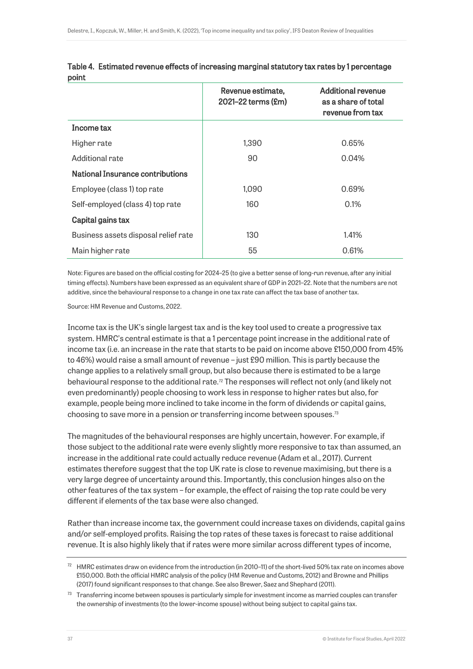|                                         | Revenue estimate,<br>2021-22 terms (£m) | <b>Additional revenue</b><br>as a share of total<br>revenue from tax |
|-----------------------------------------|-----------------------------------------|----------------------------------------------------------------------|
| Income tax                              |                                         |                                                                      |
| Higher rate                             | 1,390                                   | 0.65%                                                                |
| Additional rate                         | 90                                      | 0.04%                                                                |
| <b>National Insurance contributions</b> |                                         |                                                                      |
| Employee (class 1) top rate             | 1,090                                   | 0.69%                                                                |
| Self-employed (class 4) top rate        | 160                                     | 0.1%                                                                 |
| Capital gains tax                       |                                         |                                                                      |
| Business assets disposal relief rate    | 130                                     | 1.41%                                                                |
| Main higher rate                        | 55                                      | 0.61%                                                                |

|       | Table 4. Estimated revenue effects of increasing marginal statutory tax rates by 1 percentage |
|-------|-----------------------------------------------------------------------------------------------|
| point |                                                                                               |

Note: Figures are based on the official costing for 2024–25 (to give a better sense of long-run revenue, after any initial timing effects). Numbers have been expressed as an equivalent share of GDP in 2021–22. Note that the numbers are not additive, since the behavioural response to a change in one tax rate can affect the tax base of another tax.

Source: HM Revenue and Customs, 2022.

Income tax is the UK's single largest tax and is the key tool used to create a progressive tax system. HMRC's central estimate is that a 1 percentage point increase in the additional rate of income tax (i.e. an increase in the rate that starts to be paid on income above £150,000 from 45% to 46%) would raise a small amount of revenue – just £90 million. This is partly because the change applies to a relatively small group, but also because there is estimated to be a large behavioural response to the additional rate.<sup>72</sup> The responses will reflect not only (and likely not even predominantly) people choosing to work less in response to higher rates but also, for example, people being more inclined to take income in the form of dividends or capital gains, choosing to save more in a pension or transferring income between spouses.<sup>73</sup>

The magnitudes of the behavioural responses are highly uncertain, however. For example, if those subject to the additional rate were evenly slightly more responsive to tax than assumed, an increase in the additional rate could actually reduce revenue (Adam et al., 2017). Current estimates therefore suggest that the top UK rate is close to revenue maximising, but there is a very large degree of uncertainty around this. Importantly, this conclusion hinges also on the other features of the tax system – for example, the effect of raising the top rate could be very different if elements of the tax base were also changed.

Rather than increase income tax, the government could increase taxes on dividends, capital gains and/or self-employed profits. Raising the top rates of these taxes is forecast to raise additional revenue. It is also highly likely that if rates were more similar across different types of income,

 $72$  HMRC estimates draw on evidence from the introduction (in 2010–11) of the short-lived 50% tax rate on incomes above £150,000. Both the official HMRC analysis of the policy (HM Revenue and Customs, 2012) and Browne and Phillips (2017) found significant responses to that change. See also Brewer, Saez and Shephard (2011).

 $73$  Transferring income between spouses is particularly simple for investment income as married couples can transfer the ownership of investments (to the lower-income spouse) without being subject to capital gains tax.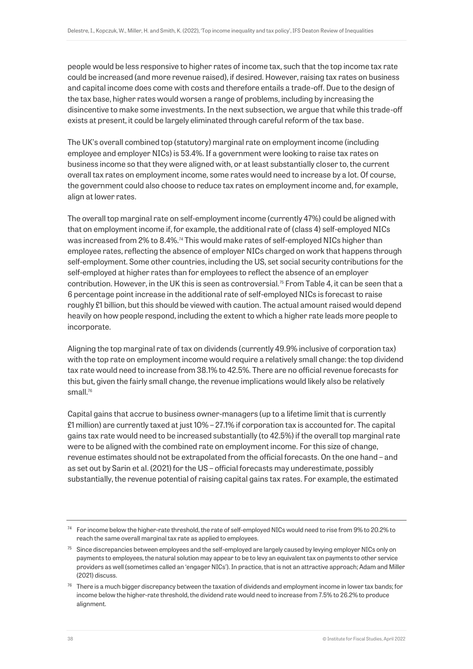people would be less responsive to higher rates of income tax, such that the top income tax rate could be increased (and more revenue raised), if desired. However, raising tax rates on business and capital income does come with costs and therefore entails a trade-off. Due to the design of the tax base, higher rates would worsen a range of problems, including by increasing the disincentive to make some investments. In the next subsection, we argue that while this trade-off exists at present, it could be largely eliminated through careful reform of the tax base.

The UK's overall combined top (statutory) marginal rate on employment income (including employee and employer NICs) is 53.4%. If a government were looking to raise tax rates on business income so that they were aligned with, or at least substantially closer to, the current overall tax rates on employment income, some rates would need to increase by a lot. Of course, the government could also choose to reduce tax rates on employment income and, for example, align at lower rates.

The overall top marginal rate on self-employment income (currently 47%) could be aligned with that on employment income if, for example, the additional rate of (class 4) self-employed NICs was increased from 2% to 8.4%.<sup>74</sup> This would make rates of self-employed NICs higher than employee rates, reflecting the absence of employer NICs charged on work that happens through self-employment. Some other countries, including the US, set social security contributions for the self-employed at higher rates than for employees to reflect the absence of an employer contribution. However, in the UK this is seen as controversial.<sup>75</sup> From Table 4, it can be seen that a 6 percentage point increase in the additional rate of self-employed NICs is forecast to raise roughly £1 billion, but this should be viewed with caution. The actual amount raised would depend heavily on how people respond, including the extent to which a higher rate leads more people to incorporate.

Aligning the top marginal rate of tax on dividends (currently 49.9% inclusive of corporation tax) with the top rate on employment income would require a relatively small change: the top dividend tax rate would need to increase from 38.1% to 42.5%. There are no official revenue forecasts for this but, given the fairly small change, the revenue implications would likely also be relatively small.<sup>76</sup>

Capital gains that accrue to business owner-managers (up to a lifetime limit that is currently £1 million) are currently taxed at just 10% – 27.1% if corporation tax is accounted for. The capital gains tax rate would need to be increased substantially (to 42.5%) if the overall top marginal rate were to be aligned with the combined rate on employment income. For this size of change, revenue estimates should not be extrapolated from the official forecasts. On the one hand – and as set out by Sarin et al. (2021) for the US – official forecasts may underestimate, possibly substantially, the revenue potential of raising capital gains tax rates. For example, the estimated

<sup>&</sup>lt;sup>74</sup> For income below the higher-rate threshold, the rate of self-employed NICs would need to rise from 9% to 20.2% to reach the same overall marginal tax rate as applied to employees.

 $75$  Since discrepancies between employees and the self-employed are largely caused by levying employer NICs only on payments to employees, the natural solution may appear to be to levy an equivalent tax on payments to other service providers as well (sometimes called an 'engager NICs'). In practice, that is not an attractive approach; Adam and Miller (2021) discuss.

 $76$  There is a much bigger discrepancy between the taxation of dividends and employment income in lower tax bands; for income below the higher-rate threshold, the dividend rate would need to increase from 7.5% to 26.2% to produce alignment.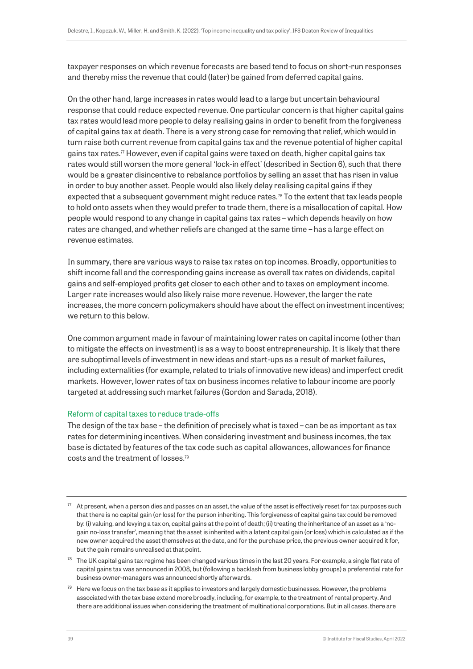taxpayer responses on which revenue forecasts are based tend to focus on short-run responses and thereby miss the revenue that could (later) be gained from deferred capital gains.

On the other hand, large increases in rates would lead to a large but uncertain behavioural response that could reduce expected revenue. One particular concern is that higher capital gains tax rates would lead more people to delay realising gains in order to benefit from the forgiveness of capital gains tax at death. There is a very strong case for removing that relief, which would in turn raise both current revenue from capital gains tax and the revenue potential of higher capital gains tax rates.<sup> $\pi$ </sup> However, even if capital gains were taxed on death, higher capital gains tax rates would still worsen the more general 'lock-in effect' (described in Section 6), such that there would be a greater disincentive to rebalance portfolios by selling an asset that has risen in value in order to buy another asset. People would also likely delay realising capital gains if they expected that a subsequent government might reduce rates.<sup>78</sup> To the extent that tax leads people to hold onto assets when they would prefer to trade them, there is a misallocation of capital. How people would respond to any change in capital gains tax rates – which depends heavily on how rates are changed, and whether reliefs are changed at the same time – has a large effect on revenue estimates.

In summary, there are various ways to raise tax rates on top incomes. Broadly, opportunities to shift income fall and the corresponding gains increase as overall tax rates on dividends, capital gains and self-employed profits get closer to each other and to taxes on employment income. Larger rate increases would also likely raise more revenue. However, the larger the rate increases, the more concern policymakers should have about the effect on investment incentives; we return to this below.

One common argument made in favour of maintaining lower rates on capital income (other than to mitigate the effects on investment) is as a way to boost entrepreneurship. It is likely that there are suboptimal levels of investment in new ideas and start-ups as a result of market failures, including externalities (for example, related to trials of innovative new ideas) and imperfect credit markets. However, lower rates of tax on business incomes relative to labour income are poorly targeted at addressing such market failures (Gordon and Sarada, 2018).

## Reform of capital taxes to reduce trade-offs

The design of the tax base – the definition of precisely what is taxed – can be as important as tax rates for determining incentives. When considering investment and business incomes, the tax base is dictated by features of the tax code such as capital allowances, allowances for finance costs and the treatment of losses.<sup>79</sup>

- $77$  At present, when a person dies and passes on an asset, the value of the asset is effectively reset for tax purposes such that there is no capital gain (or loss) for the person inheriting. This forgiveness of capital gains tax could be removed by: (i) valuing, and levying a tax on, capital gains at the point of death; (ii) treating the inheritance of an asset as a 'nogain no-loss transfer', meaning that the asset is inherited with a latent capital gain (or loss) which is calculated as if the new owner acquired the asset themselves at the date, and for the purchase price, the previous owner acquired it for, but the gain remains unrealised at that point.
- $78$  The UK capital gains tax regime has been changed various times in the last 20 years. For example, a single flat rate of capital gains tax was announced in 2008, but (following a backlash from business lobby groups) a preferential rate for business owner-managers was announced shortly afterwards.
- $79$  Here we focus on the tax base as it applies to investors and largely domestic businesses. However, the problems associated with the tax base extend more broadly, including, for example, to the treatment of rental property. And there are additional issues when considering the treatment of multinational corporations. But in all cases, there are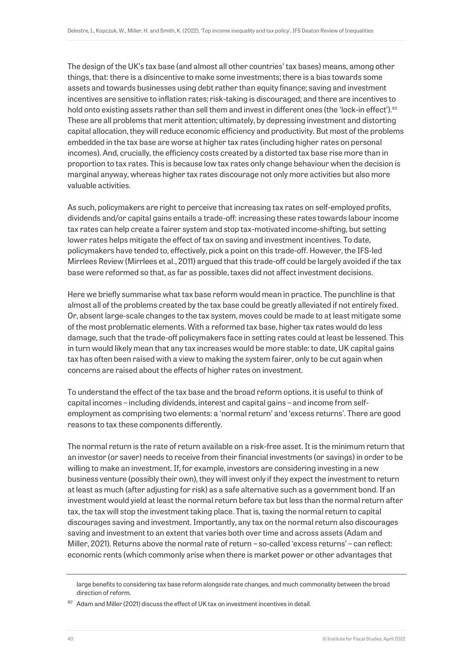The design of the UK's tax base (and almost all other countries' tax bases) means, among other things, that: there is a disincentive to make some investments; there is a bias towards some assets and towards businesses using debt rather than equity finance; saving and investment incentives are sensitive to inflation rates; risk-taking is discouraged; and there are incentives to hold onto existing assets rather than sell them and invest in different ones (the 'lock-in effect').<sup>80</sup> These are all problems that merit attention; ultimately, by depressing investment and distorting capital allocation, they will reduce economic efficiency and productivity. But most of the problems embedded in the tax base are worse at higher tax rates (including higher rates on personal incomes). And, crucially, the efficiency costs created by a distorted tax base rise more than in proportion to tax rates. This is because low tax rates only change behaviour when the decision is marginal anyway, whereas higher tax rates discourage not only more activities but also more valuable activities.

As such, policymakers are right to perceive that increasing tax rates on self-employed profits, dividends and/or capital gains entails a trade-off: increasing these rates towards labour income tax rates can help create a fairer system and stop tax-motivated income-shifting, but setting lower rates helps mitigate the effect of tax on saving and investment incentives. To date, policymakers have tended to, effectively, pick a point on this trade-off. However, the IFS-led Mirrlees Review (Mirrlees et al., 2011) argued that this trade-off could be largely avoided if the tax base were reformed so that, as far as possible, taxes did not affect investment decisions.

Here we briefly summarise what tax base reform would mean in practice. The punchline is that almost all of the problems created by the tax base could be greatly alleviated if not entirely fixed. Or, absent large-scale changes to the tax system, moves could be made to at least mitigate some of the most problematic elements. With a reformed tax base, higher tax rates would do less damage, such that the trade-off policymakers face in setting rates could at least be lessened. This in turn would likely mean that any tax increases would be more stable: to date, UK capital gains tax has often been raised with a view to making the system fairer, only to be cut again when concerns are raised about the effects of higher rates on investment.

To understand the effect of the tax base and the broad reform options, it is useful to think of capital incomes – including dividends, interest and capital gains – and income from selfemployment as comprising two elements: a 'normal return' and 'excess returns'. There are good reasons to tax these components differently.

The normal return is the rate of return available on a risk-free asset. It is the minimum return that an investor (or saver) needs to receive from their financial investments (or savings) in order to be willing to make an investment. If, for example, investors are considering investing in a new business venture (possibly their own), they will invest only if they expect the investment to return at least as much (after adjusting for risk) as a safe alternative such as a government bond. If an investment would yield at least the normal return before tax but less than the normal return after tax, the tax will stop the investment taking place. That is, taxing the normal return to capital discourages saving and investment. Importantly, any tax on the normal return also discourages saving and investment to an extent that varies both over time and across assets (Adam and Miller, 2021). Returns above the normal rate of return – so-called 'excess returns' – can reflect: economic rents (which commonly arise when there is market power or other advantages that

large benefits to considering tax base reform alongside rate changes, and much commonality between the broad direction of reform.

<sup>80</sup> Adam and Miller (2021) discuss the effect of UK tax on investment incentives in detail.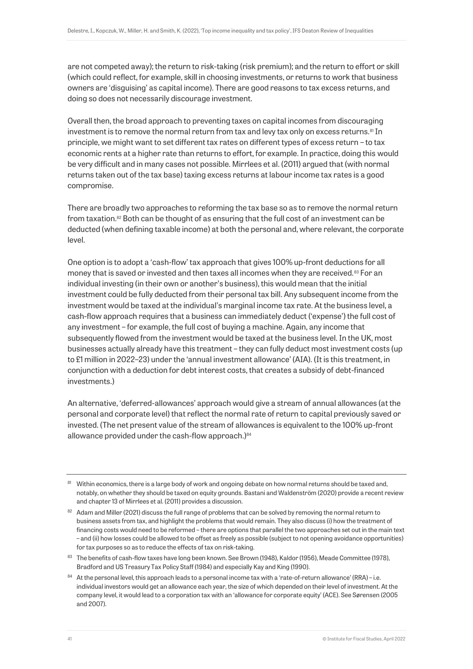are not competed away); the return to risk-taking (risk premium); and the return to effort or skill (which could reflect, for example, skill in choosing investments, or returns to work that business owners are 'disguising' as capital income). There are good reasons to tax excess returns, and doing so does not necessarily discourage investment.

Overall then, the broad approach to preventing taxes on capital incomes from discouraging investment is to remove the normal return from tax and levy tax only on excess returns.<sup>81</sup> In principle, we might want to set different tax rates on different types of excess return – to tax economic rents at a higher rate than returns to effort, for example. In practice, doing this would be very difficult and in many cases not possible. Mirrlees et al. (2011) argued that (with normal returns taken out of the tax base) taxing excess returns at labour income tax rates is a good compromise.

There are broadly two approaches to reforming the tax base so as to remove the normal return from taxation.<sup>82</sup> Both can be thought of as ensuring that the full cost of an investment can be deducted (when defining taxable income) at both the personal and, where relevant, the corporate level.

One option is to adopt a 'cash-flow' tax approach that gives 100% up-front deductions for all money that is saved or invested and then taxes all incomes when they are received.<sup>83</sup> For an individual investing (in their own or another's business), this would mean that the initial investment could be fully deducted from their personal tax bill. Any subsequent income from the investment would be taxed at the individual's marginal income tax rate. At the business level, a cash-flow approach requires that a business can immediately deduct ('expense') the full cost of any investment – for example, the full cost of buying a machine. Again, any income that subsequently flowed from the investment would be taxed at the business level. In the UK, most businesses actually already have this treatment – they can fully deduct most investment costs (up to £1 million in 2022–23) under the 'annual investment allowance' (AIA). (It is this treatment, in conjunction with a deduction for debt interest costs, that creates a subsidy of debt-financed investments.)

An alternative, 'deferred-allowances' approach would give a stream of annual allowances (at the personal and corporate level) that reflect the normal rate of return to capital previously saved or invested. (The net present value of the stream of allowances is equivalent to the 100% up-front allowance provided under the cash-flow approach.) 84

<sup>&</sup>lt;sup>81</sup> Within economics, there is a large body of work and ongoing debate on how normal returns should be taxed and, notably, on whether they should be taxed on equity grounds. Bastani and Waldenström (2020) provide a recent review and chapter 13 of Mirrlees et al. (2011) provides a discussion.

<sup>82</sup> Adam and Miller (2021) discuss the full range of problems that can be solved by removing the normal return to business assets from tax, and highlight the problems that would remain. They also discuss (i) how the treatment of financing costs would need to be reformed – there are options that parallel the two approaches set out in the main text – and (ii) how losses could be allowed to be offset as freely as possible (subject to not opening avoidance opportunities) for tax purposes so as to reduce the effects of tax on risk-taking.

<sup>83</sup> The benefits of cash-flow taxes have long been known. See Brown (1948), Kaldor (1956), Meade Committee (1978), Bradford and US Treasury Tax Policy Staff (1984) and especially Kay and King (1990).

 $84$  At the personal level, this approach leads to a personal income tax with a 'rate-of-return allowance' (RRA) – i.e. individual investors would get an allowance each year, the size of which depended on their level of investment. At the company level, it would lead to a corporation tax with an 'allowance for corporate equity' (ACE). See Sørensen (2005 and 2007).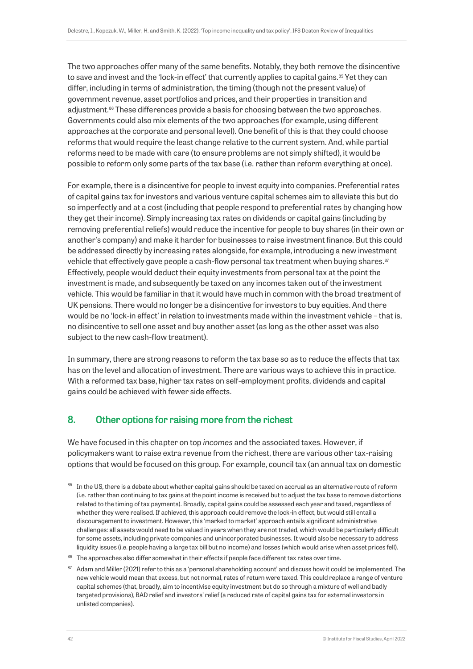The two approaches offer many of the same benefits. Notably, they both remove the disincentive to save and invest and the 'lock-in effect' that currently applies to capital gains.<sup>85</sup> Yet they can differ, including in terms of administration, the timing (though not the present value) of government revenue, asset portfolios and prices, and their properties in transition and adjustment.<sup>86</sup> These differences provide a basis for choosing between the two approaches. Governments could also mix elements of the two approaches (for example, using different approaches at the corporate and personal level). One benefit of this is that they could choose reforms that would require the least change relative to the current system. And, while partial reforms need to be made with care (to ensure problems are not simply shifted), it would be possible to reform only some parts of the tax base (i.e. rather than reform everything at once).

For example, there is a disincentive for people to invest equity into companies. Preferential rates of capital gains tax for investors and various venture capital schemes aim to alleviate this but do so imperfectly and at a cost (including that people respond to preferential rates by changing how they get their income). Simply increasing tax rates on dividends or capital gains (including by removing preferential reliefs) would reduce the incentive for people to buy shares (in their own or another's company) and make it harder for businesses to raise investment finance. But this could be addressed directly by increasing rates alongside, for example, introducing a new investment vehicle that effectively gave people a cash-flow personal tax treatment when buying shares.<sup>87</sup> Effectively, people would deduct their equity investments from personal tax at the point the investment is made, and subsequently be taxed on any incomes taken out of the investment vehicle. This would be familiar in that it would have much in common with the broad treatment of UK pensions. There would no longer be a disincentive for investors to buy equities. And there would be no 'lock-in effect' in relation to investments made within the investment vehicle – that is, no disincentive to sell one asset and buy another asset (as long as the other asset was also subject to the new cash-flow treatment).

In summary, there are strong reasons to reform the tax base so as to reduce the effects that tax has on the level and allocation of investment. There are various ways to achieve this in practice. With a reformed tax base, higher tax rates on self-employment profits, dividends and capital gains could be achieved with fewer side effects.

# 8. Other options for raising more from the richest

We have focused in this chapter on top *incomes* and the associated taxes. However, if policymakers want to raise extra revenue from the richest, there are various other tax-raising options that would be focused on this group. For example, council tax (an annual tax on domestic

<sup>&</sup>lt;sup>85</sup> In the US, there is a debate about whether capital gains should be taxed on accrual as an alternative route of reform (i.e. rather than continuing to tax gains at the point income is received but to adjust the tax base to remove distortions related to the timing of tax payments). Broadly, capital gains could be assessed each year and taxed, regardless of whether they were realised. If achieved, this approach could remove the lock-in effect, but would still entail a discouragement to investment. However, this 'marked to market' approach entails significant administrative challenges: all assets would need to be valued in years when they are not traded, which would be particularly difficult for some assets, including private companies and unincorporated businesses. It would also be necessary to address liquidity issues (i.e. people having a large tax bill but no income) and losses (which would arise when asset prices fell).

<sup>86</sup> The approaches also differ somewhat in their effects if people face different tax rates over time.

<sup>&</sup>lt;sup>87</sup> Adam and Miller (2021) refer to this as a 'personal shareholding account' and discuss how it could be implemented. The new vehicle would mean that excess, but not normal, rates of return were taxed. This could replace a range of venture capital schemes (that, broadly, aim to incentivise equity investment but do so through a mixture of well and badly targeted provisions), BAD relief and investors' relief (a reduced rate of capital gains tax for external investors in unlisted companies).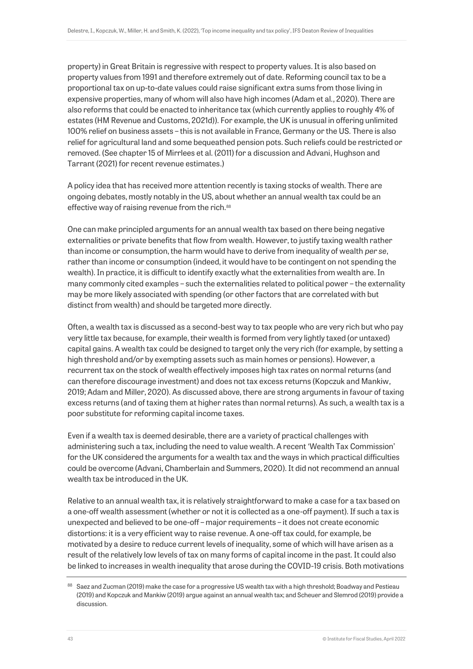property) in Great Britain is regressive with respect to property values. It is also based on property values from 1991 and therefore extremely out of date. Reforming council tax to be a proportional tax on up-to-date values could raise significant extra sums from those living in expensive properties, many of whom will also have high incomes (Adam et al., 2020). There are also reforms that could be enacted to inheritance tax (which currently applies to roughly 4% of estates (HM Revenue and Customs, 2021d)). For example, the UK is unusual in offering unlimited 100% relief on business assets – this is not available in France, Germany or the US. There is also relief for agricultural land and some bequeathed pension pots. Such reliefs could be restricted or removed. (See chapter 15 of Mirrlees et al. (2011) for a discussion and Advani, Hughson and Tarrant (2021) for recent revenue estimates.)

A policy idea that has received more attention recently is taxing stocks of wealth. There are ongoing debates, mostly notably in the US, about whether an annual wealth tax could be an effective way of raising revenue from the rich.<sup>88</sup>

One can make principled arguments for an annual wealth tax based on there being negative externalities or private benefits that flow from wealth. However, to justify taxing wealth rather than income or consumption, the harm would have to derive from inequality of wealth *per se*, rather than income or consumption (indeed, it would have to be contingent on not spending the wealth). In practice, it is difficult to identify exactly what the externalities from wealth are. In many commonly cited examples – such the externalities related to political power – the externality may be more likely associated with spending (or other factors that are correlated with but distinct from wealth) and should be targeted more directly.

Often, a wealth tax is discussed as a second-best way to tax people who are very rich but who pay very little tax because, for example, their wealth is formed from very lightly taxed (or untaxed) capital gains. A wealth tax could be designed to target only the very rich (for example, by setting a high threshold and/or by exempting assets such as main homes or pensions). However, a recurrent tax on the stock of wealth effectively imposes high tax rates on normal returns (and can therefore discourage investment) and does not tax excess returns (Kopczuk and Mankiw, 2019; Adam and Miller, 2020). As discussed above, there are strong arguments in favour of taxing excess returns (and of taxing them at higher rates than normal returns). As such, a wealth tax is a poor substitute for reforming capital income taxes.

Even if a wealth tax is deemed desirable, there are a variety of practical challenges with administering such a tax, including the need to value wealth. A recent 'Wealth Tax Commission' for the UK considered the arguments for a wealth tax and the ways in which practical difficulties could be overcome (Advani, Chamberlain and Summers, 2020). It did not recommend an annual wealth tax be introduced in the UK.

Relative to an annual wealth tax, it is relatively straightforward to make a case for a tax based on a one-off wealth assessment (whether or not it is collected as a one-off payment). If such a tax is unexpected and believed to be one-off – major requirements – it does not create economic distortions: it is a very efficient way to raise revenue. A one-off tax could, for example, be motivated by a desire to reduce current levels of inequality, some of which will have arisen as a result of the relatively low levels of tax on many forms of capital income in the past. It could also be linked to increases in wealth inequality that arose during the COVID-19 crisis. Both motivations

<sup>&</sup>lt;sup>88</sup> Saez and Zucman (2019) make the case for a progressive US wealth tax with a high threshold; Boadway and Pestieau (2019) and Kopczuk and Mankiw (2019) argue against an annual wealth tax; and Scheuer and Slemrod (2019) provide a discussion.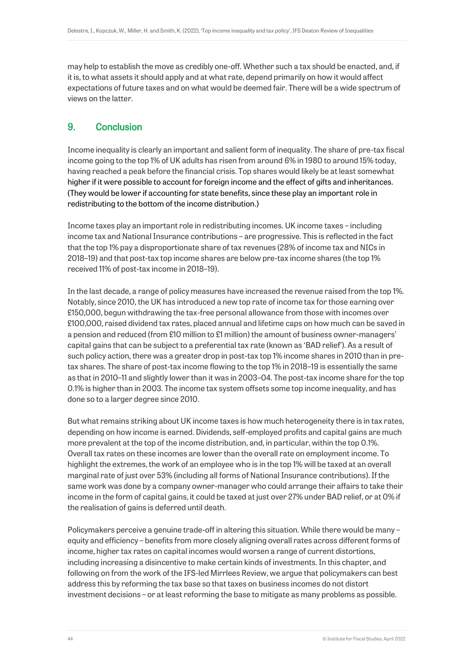may help to establish the move as credibly one-off. Whether such a tax should be enacted, and, if it is, to what assets it should apply and at what rate, depend primarily on how it would affect expectations of future taxes and on what would be deemed fair. There will be a wide spectrum of views on the latter.

# 9. Conclusion

Income inequality is clearly an important and salient form of inequality. The share of pre-tax fiscal income going to the top 1% of UK adults has risen from around 6% in 1980 to around 15% today, having reached a peak before the financial crisis. Top shares would likely be at least somewhat higher if it were possible to account for foreign income and the effect of gifts and inheritances. (They would be lower if accounting for state benefits, since these play an important role in redistributing to the bottom of the income distribution.)

Income taxes play an important role in redistributing incomes. UK income taxes – including income tax and National Insurance contributions – are progressive. This is reflected in the fact that the top 1% pay a disproportionate share of tax revenues (28% of income tax and NICs in 2018–19) and that post-tax top income shares are below pre-tax income shares (the top 1% received 11% of post-tax income in 2018–19).

In the last decade, a range of policy measures have increased the revenue raised from the top 1%. Notably, since 2010, the UK has introduced a new top rate of income tax for those earning over £150,000, begun withdrawing the tax-free personal allowance from those with incomes over £100,000, raised dividend tax rates, placed annual and lifetime caps on how much can be saved in a pension and reduced (from £10 million to £1 million) the amount of business owner-managers' capital gains that can be subject to a preferential tax rate (known as 'BAD relief'). As a result of such policy action, there was a greater drop in post-tax top 1% income shares in 2010 than in pretax shares. The share of post-tax income flowing to the top 1% in 2018–19 is essentially the same as that in 2010–11 and slightly lower than it was in 2003–04. The post-tax income share for the top 0.1% is higher than in 2003. The income tax system offsets some top income inequality, and has done so to a larger degree since 2010.

But what remains striking about UK income taxes is how much heterogeneity there is in tax rates, depending on how income is earned. Dividends, self-employed profits and capital gains are much more prevalent at the top of the income distribution, and, in particular, within the top 0.1%. Overall tax rates on these incomes are lower than the overall rate on employment income. To highlight the extremes, the work of an employee who is in the top 1% will be taxed at an overall marginal rate of just over 53% (including all forms of National Insurance contributions). If the same work was done by a company owner-manager who could arrange their affairs to take their income in the form of capital gains, it could be taxed at just over 27% under BAD relief, or at 0% if the realisation of gains is deferred until death.

Policymakers perceive a genuine trade-off in altering this situation. While there would be many – equity and efficiency – benefits from more closely aligning overall rates across different forms of income, higher tax rates on capital incomes would worsen a range of current distortions, including increasing a disincentive to make certain kinds of investments. In this chapter, and following on from the work of the IFS-led Mirrlees Review, we argue that policymakers can best address this by reforming the tax base so that taxes on business incomes do not distort investment decisions – or at least reforming the base to mitigate as many problems as possible.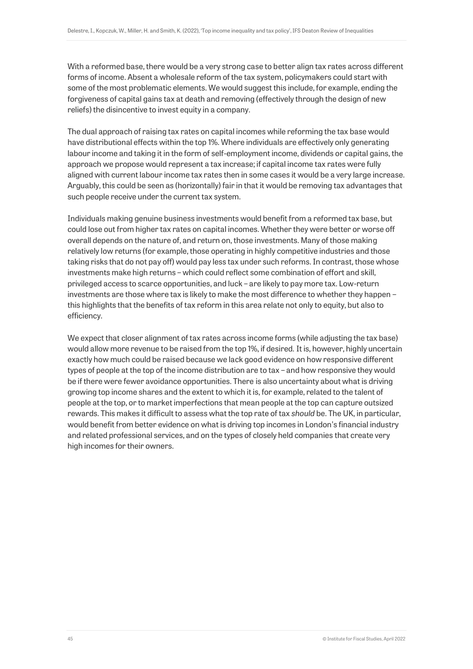With a reformed base, there would be a very strong case to better align tax rates across different forms of income. Absent a wholesale reform of the tax system, policymakers could start with some of the most problematic elements. We would suggest this include, for example, ending the forgiveness of capital gains tax at death and removing (effectively through the design of new reliefs) the disincentive to invest equity in a company.

The dual approach of raising tax rates on capital incomes while reforming the tax base would have distributional effects within the top 1%. Where individuals are effectively only generating labour income and taking it in the form of self-employment income, dividends or capital gains, the approach we propose would represent a tax increase; if capital income tax rates were fully aligned with current labour income tax rates then in some cases it would be a very large increase. Arguably, this could be seen as (horizontally) fair in that it would be removing tax advantages that such people receive under the current tax system.

Individuals making genuine business investments would benefit from a reformed tax base, but could lose out from higher tax rates on capital incomes. Whether they were better or worse off overall depends on the nature of, and return on, those investments. Many of those making relatively low returns (for example, those operating in highly competitive industries and those taking risks that do not pay off) would pay less tax under such reforms. In contrast, those whose investments make high returns – which could reflect some combination of effort and skill, privileged access to scarce opportunities, and luck – are likely to pay more tax. Low-return investments are those where tax is likely to make the most difference to whether they happen – this highlights that the benefits of tax reform in this area relate not only to equity, but also to efficiency.

We expect that closer alignment of tax rates across income forms (while adjusting the tax base) would allow more revenue to be raised from the top 1%, if desired. It is, however, highly uncertain exactly how much could be raised because we lack good evidence on how responsive different types of people at the top of the income distribution are to tax – and how responsive they would be if there were fewer avoidance opportunities. There is also uncertainty about what is driving growing top income shares and the extent to which it is, for example, related to the talent of people at the top, or to market imperfections that mean people at the top can capture outsized rewards. This makes it difficult to assess what the top rate of tax *should* be. The UK, in particular, would benefit from better evidence on what is driving top incomes in London's financial industry and related professional services, and on the types of closely held companies that create very high incomes for their owners.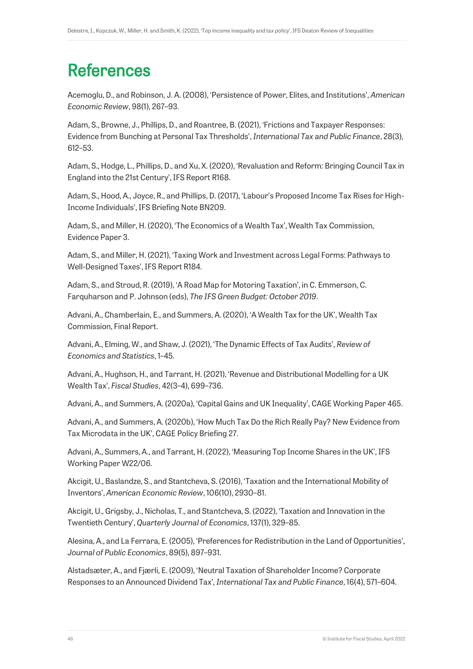# **References**

Acemoglu, D., and Robinson, J. A. (2008), 'Persistence of Power, Elites, and Institutions', *American Economic Review*, 98(1), 267–93.

Adam, S., Browne, J., Phillips, D., and Roantree, B. (2021), 'Frictions and Taxpayer Responses: Evidence from Bunching at Personal Tax Thresholds', *International Tax and Public Finance*, 28(3), 612–53.

Adam, S., Hodge, L., Phillips, D., and Xu, X. (2020), 'Revaluation and Reform: Bringing Council Tax in England into the 21st Century', IFS Report R168.

Adam, S., Hood, A., Joyce, R., and Phillips, D. (2017), 'Labour's Proposed Income Tax Rises for High-Income Individuals', IFS Briefing Note BN209.

Adam, S., and Miller, H. (2020), 'The Economics of a Wealth Tax', Wealth Tax Commission, Evidence Paper 3.

Adam, S., and Miller, H. (2021), 'Taxing Work and Investment across Legal Forms: Pathways to Well-Designed Taxes', IFS Report R184.

Adam, S., and Stroud, R. (2019), 'A Road Map for Motoring Taxation', in C. Emmerson, C. Farquharson and P. Johnson (eds), *The IFS Green Budget: October 2019*.

Advani, A., Chamberlain, E., and Summers, A. (2020), 'A Wealth Tax for the UK', Wealth Tax Commission, Final Report.

Advani, A., Elming, W., and Shaw, J. (2021), 'The Dynamic Effects of Tax Audits', *Review of Economics and Statistics*, 1–45.

Advani, A., Hughson, H., and Tarrant, H. (2021), 'Revenue and Distributional Modelling for a UK Wealth Tax', *Fiscal Studies*, 42(3–4), 699–736.

Advani, A., and Summers, A. (2020a), 'Capital Gains and UK Inequality', CAGE Working Paper 465.

Advani, A., and Summers, A. (2020b), 'How Much Tax Do the Rich Really Pay? New Evidence from Tax Microdata in the UK', CAGE Policy Briefing 27.

Advani, A., Summers, A., and Tarrant, H. (2022), 'Measuring Top Income Shares in the UK', IFS Working Paper W22/06.

Akcigit, U., Baslandze, S., and Stantcheva, S. (2016), 'Taxation and the International Mobility of Inventors', *American Economic Review*, 106(10), 2930–81.

Akcigit, U., Grigsby, J., Nicholas, T., and Stantcheva, S. (2022), 'Taxation and Innovation in the Twentieth Century', *Quarterly Journal of Economics*, 137(1), 329–85.

Alesina, A., and La Ferrara, E. (2005), 'Preferences for Redistribution in the Land of Opportunities', *Journal of Public Economics*, 89(5), 897–931.

Alstadsæter, A., and Fjærli, E. (2009), 'Neutral Taxation of Shareholder Income? Corporate Responses to an Announced Dividend Tax', *International Tax and Public Finance*, 16(4), 571–604.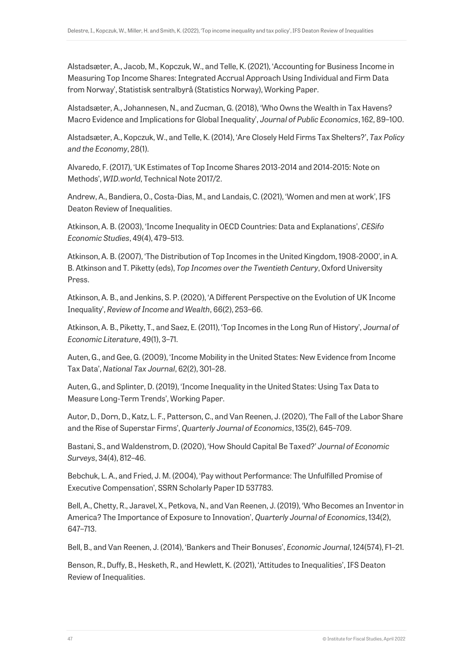Alstadsæter, A., Jacob, M., Kopczuk, W., and Telle, K. (2021), 'Accounting for Business Income in Measuring Top Income Shares: Integrated Accrual Approach Using Individual and Firm Data from Norway', Statistisk sentralbyrå (Statistics Norway), Working Paper.

Alstadsæter, A., Johannesen, N., and Zucman, G. (2018), 'Who Owns the Wealth in Tax Havens? Macro Evidence and Implications for Global Inequality', *Journal of Public Economics*, 162, 89–100.

Alstadsæter, A., Kopczuk, W., and Telle, K. (2014), 'Are Closely Held Firms Tax Shelters?', *Tax Policy and the Economy*, 28(1).

Alvaredo, F. (2017), 'UK Estimates of Top Income Shares 2013-2014 and 2014-2015: Note on Methods', *WID.world*, Technical Note 2017/2.

Andrew, A., Bandiera, O., Costa-Dias, M., and Landais, C. (2021), 'Women and men at work', IFS Deaton Review of Inequalities.

Atkinson, A. B. (2003), 'Income Inequality in OECD Countries: Data and Explanations', *CESifo Economic Studies*, 49(4), 479–513.

Atkinson, A. B. (2007), 'The Distribution of Top Incomes in the United Kingdom, 1908-2000', in A. B. Atkinson and T. Piketty (eds), *Top Incomes over the Twentieth Century*, Oxford University Press.

Atkinson, A. B., and Jenkins, S. P. (2020), 'A Different Perspective on the Evolution of UK Income Inequality', *Review of Income and Wealth*, 66(2), 253–66.

Atkinson, A. B., Piketty, T., and Saez, E. (2011), 'Top Incomes in the Long Run of History', *Journal of Economic Literature*, 49(1), 3–71.

Auten, G., and Gee, G. (2009), 'Income Mobility in the United States: New Evidence from Income Tax Data', *National Tax Journal*, 62(2), 301–28.

Auten, G., and Splinter, D. (2019), 'Income Inequality in the United States: Using Tax Data to Measure Long-Term Trends', Working Paper.

Autor, D., Dorn, D., Katz, L. F., Patterson, C., and Van Reenen, J. (2020), 'The Fall of the Labor Share and the Rise of Superstar Firms', *Quarterly Journal of Economics*, 135(2), 645–709.

Bastani, S., and Waldenstrom, D. (2020), 'How Should Capital Be Taxed?' *Journal of Economic Surveys*, 34(4), 812–46.

Bebchuk, L. A., and Fried, J. M. (2004), 'Pay without Performance: The Unfulfilled Promise of Executive Compensation', SSRN Scholarly Paper ID 537783.

Bell, A., Chetty, R., Jaravel, X., Petkova, N., and Van Reenen, J. (2019), 'Who Becomes an Inventor in America? The Importance of Exposure to Innovation', *Quarterly Journal of Economics*, 134(2), 647–713.

Bell, B., and Van Reenen, J. (2014), 'Bankers and Their Bonuses', *Economic Journal*, 124(574), F1–21.

Benson, R., Duffy, B., Hesketh, R., and Hewlett, K. (2021), 'Attitudes to Inequalities', IFS Deaton Review of Inequalities.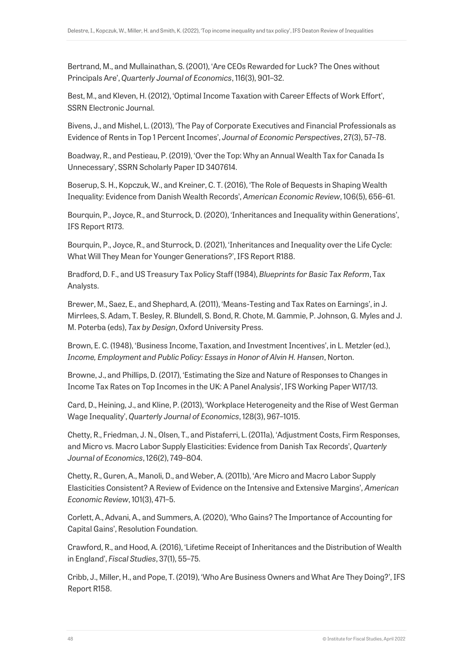Bertrand, M., and Mullainathan, S. (2001), 'Are CEOs Rewarded for Luck? The Ones without Principals Are', *Quarterly Journal of Economics*, 116(3), 901–32.

Best, M., and Kleven, H. (2012), 'Optimal Income Taxation with Career Effects of Work Effort', SSRN Electronic Journal.

Bivens, J., and Mishel, L. (2013), 'The Pay of Corporate Executives and Financial Professionals as Evidence of Rents in Top 1 Percent Incomes', *Journal of Economic Perspectives*, 27(3), 57–78.

Boadway, R., and Pestieau, P. (2019), 'Over the Top: Why an Annual Wealth Tax for Canada Is Unnecessary', SSRN Scholarly Paper ID 3407614.

Boserup, S. H., Kopczuk, W., and Kreiner, C. T. (2016), 'The Role of Bequests in Shaping Wealth Inequality: Evidence from Danish Wealth Records', *American Economic Review*, 106(5), 656–61.

Bourquin, P., Joyce, R., and Sturrock, D. (2020), 'Inheritances and Inequality within Generations', IFS Report R173.

Bourquin, P., Joyce, R., and Sturrock, D. (2021), 'Inheritances and Inequality over the Life Cycle: What Will They Mean for Younger Generations?', IFS Report R188.

Bradford, D. F., and US Treasury Tax Policy Staff (1984), *Blueprints for Basic Tax Reform*, Tax Analysts.

Brewer, M., Saez, E., and Shephard, A. (2011), 'Means-Testing and Tax Rates on Earnings', in J. Mirrlees, S. Adam, T. Besley, R. Blundell, S. Bond, R. Chote, M. Gammie, P. Johnson, G. Myles and J. M. Poterba (eds), *Tax by Design*, Oxford University Press.

Brown, E. C. (1948), 'Business Income, Taxation, and Investment Incentives', in L. Metzler (ed.), *Income, Employment and Public Policy: Essays in Honor of Alvin H. Hansen*, Norton.

Browne, J., and Phillips, D. (2017), 'Estimating the Size and Nature of Responses to Changes in Income Tax Rates on Top Incomes in the UK: A Panel Analysis', IFS Working Paper W17/13.

Card, D., Heining, J., and Kline, P. (2013), 'Workplace Heterogeneity and the Rise of West German Wage Inequality', *Quarterly Journal of Economics*, 128(3), 967–1015.

Chetty, R., Friedman, J. N., Olsen, T., and Pistaferri, L. (2011a), 'Adjustment Costs, Firm Responses, and Micro vs. Macro Labor Supply Elasticities: Evidence from Danish Tax Records', *Quarterly Journal of Economics*, 126(2), 749–804.

Chetty, R., Guren, A., Manoli, D., and Weber, A. (2011b), 'Are Micro and Macro Labor Supply Elasticities Consistent? A Review of Evidence on the Intensive and Extensive Margins', *American Economic Review*, 101(3), 471–5.

Corlett, A., Advani, A., and Summers, A. (2020), 'Who Gains? The Importance of Accounting for Capital Gains', Resolution Foundation.

Crawford, R., and Hood, A. (2016), 'Lifetime Receipt of Inheritances and the Distribution of Wealth in England', *Fiscal Studies*, 37(1), 55–75.

Cribb, J., Miller, H., and Pope, T. (2019), 'Who Are Business Owners and What Are They Doing?', IFS Report R158.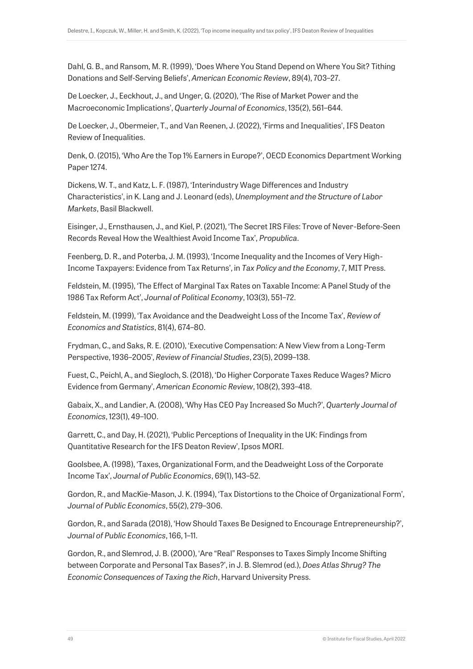Dahl, G. B., and Ransom, M. R. (1999), 'Does Where You Stand Depend on Where You Sit? Tithing Donations and Self-Serving Beliefs', *American Economic Review*, 89(4), 703–27.

De Loecker, J., Eeckhout, J., and Unger, G. (2020), 'The Rise of Market Power and the Macroeconomic Implications', *Quarterly Journal of Economics*, 135(2), 561–644.

De Loecker, J., Obermeier, T., and Van Reenen, J. (2022), 'Firms and Inequalities', IFS Deaton Review of Inequalities.

Denk, O. (2015), 'Who Are the Top 1% Earners in Europe?', OECD Economics Department Working Paper 1274.

Dickens, W. T., and Katz, L. F. (1987), 'Interindustry Wage Differences and Industry Characteristics', in K. Lang and J. Leonard (eds), *Unemployment and the Structure of Labor Markets*, Basil Blackwell.

Eisinger, J., Ernsthausen, J., and Kiel, P. (2021), 'The Secret IRS Files: Trove of Never-Before-Seen Records Reveal How the Wealthiest Avoid Income Tax', *Propublica*.

Feenberg, D. R., and Poterba, J. M. (1993), 'Income Inequality and the Incomes of Very High-Income Taxpayers: Evidence from Tax Returns', in *Tax Policy and the Economy*, 7, MIT Press.

Feldstein, M. (1995), 'The Effect of Marginal Tax Rates on Taxable Income: A Panel Study of the 1986 Tax Reform Act', *Journal of Political Economy*, 103(3), 551–72.

Feldstein, M. (1999), 'Tax Avoidance and the Deadweight Loss of the Income Tax', *Review of Economics and Statistics*, 81(4), 674–80.

Frydman, C., and Saks, R. E. (2010), 'Executive Compensation: A New View from a Long-Term Perspective, 1936–2005', *Review of Financial Studies*, 23(5), 2099–138.

Fuest, C., Peichl, A., and Siegloch, S. (2018), 'Do Higher Corporate Taxes Reduce Wages? Micro Evidence from Germany', *American Economic Review*, 108(2), 393–418.

Gabaix, X., and Landier, A. (2008), 'Why Has CEO Pay Increased So Much?', *Quarterly Journal of Economics*, 123(1), 49–100.

Garrett, C., and Day, H. (2021), 'Public Perceptions of Inequality in the UK: Findings from Quantitative Research for the IFS Deaton Review', Ipsos MORI.

Goolsbee, A. (1998), 'Taxes, Organizational Form, and the Deadweight Loss of the Corporate Income Tax', *Journal of Public Economics*, 69(1), 143–52.

Gordon, R., and MacKie-Mason, J. K. (1994), 'Tax Distortions to the Choice of Organizational Form', *Journal of Public Economics*, 55(2), 279–306.

Gordon, R., and Sarada (2018), 'How Should Taxes Be Designed to Encourage Entrepreneurship?', *Journal of Public Economics*, 166, 1–11.

Gordon, R., and Slemrod, J. B. (2000), 'Are "Real" Responses to Taxes Simply Income Shifting between Corporate and Personal Tax Bases?', in J. B. Slemrod (ed.), *Does Atlas Shrug? The Economic Consequences of Taxing the Rich*, Harvard University Press.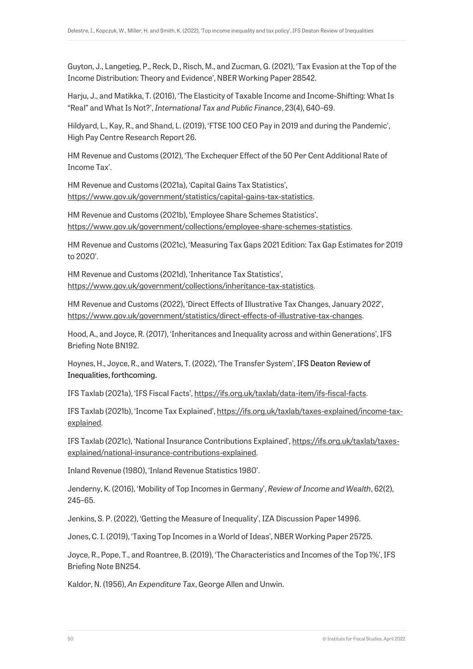Guyton, J., Langetieg, P., Reck, D., Risch, M., and Zucman, G. (2021), 'Tax Evasion at the Top of the Income Distribution: Theory and Evidence', NBER Working Paper 28542.

Harju, J., and Matikka, T. (2016), 'The Elasticity of Taxable Income and Income-Shifting: What Is "Real" and What Is Not?', *International Tax and Public Finance*, 23(4), 640–69.

Hildyard, L., Kay, R., and Shand, L. (2019), 'FTSE 100 CEO Pay in 2019 and during the Pandemic', High Pay Centre Research Report 26.

HM Revenue and Customs (2012), 'The Exchequer Effect of the 50 Per Cent Additional Rate of Income Tax'.

HM Revenue and Customs (2021a), 'Capital Gains Tax Statistics', [https://www.gov.uk/government/statistics/capital-gains-tax-statistics.](https://www.gov.uk/government/statistics/capital-gains-tax-statistics)

HM Revenue and Customs (2021b), 'Employee Share Schemes Statistics', [https://www.gov.uk/government/collections/employee-share-schemes-statistics.](https://www.gov.uk/government/collections/employee-share-schemes-statistics)

HM Revenue and Customs (2021c), 'Measuring Tax Gaps 2021 Edition: Tax Gap Estimates for 2019 to 2020'.

HM Revenue and Customs (2021d), 'Inheritance Tax Statistics', [https://www.gov.uk/government/collections/inheritance-tax-statistics.](https://www.gov.uk/government/collections/inheritance-tax-statistics)

HM Revenue and Customs (2022), 'Direct Effects of Illustrative Tax Changes, January 2022', [https://www.gov.uk/government/statistics/direct-effects-of-illustrative-tax-changes.](https://www.gov.uk/government/statistics/direct-effects-of-illustrative-tax-changes)

Hood, A., and Joyce, R. (2017), 'Inheritances and Inequality across and within Generations', IFS Briefing Note BN192.

Hoynes, H., Joyce, R., and Waters, T. (2022), 'The Transfer System', IFS Deaton Review of Inequalities, forthcoming.

IFS Taxlab (2021a), 'IFS Fiscal Facts', [https://ifs.org.uk/taxlab/data-item/ifs-fiscal-facts.](https://ifs.org.uk/taxlab/data-item/ifs-fiscal-facts)

IFS Taxlab (2021b), 'Income Tax Explained', [https://ifs.org.uk/taxlab/taxes-explained/income-tax](https://ifs.org.uk/taxlab/taxes-explained/income-tax-explained)[explained.](https://ifs.org.uk/taxlab/taxes-explained/income-tax-explained)

IFS Taxlab (2021c), 'National Insurance Contributions Explained', [https://ifs.org.uk/taxlab/taxes](https://ifs.org.uk/taxlab/taxes-explained/national-insurance-contributions-explained)[explained/national-insurance-contributions-explained.](https://ifs.org.uk/taxlab/taxes-explained/national-insurance-contributions-explained)

Inland Revenue (1980), 'Inland Revenue Statistics 1980'.

Jenderny, K. (2016), 'Mobility of Top Incomes in Germany', *Review of Income and Wealth*, 62(2), 245–65.

Jenkins, S. P. (2022), 'Getting the Measure of Inequality', IZA Discussion Paper 14996.

Jones, C. I. (2019), 'Taxing Top Incomes in a World of Ideas', NBER Working Paper 25725.

Joyce, R., Pope, T., and Roantree, B. (2019), 'The Characteristics and Incomes of the Top 1%', IFS Briefing Note BN254.

Kaldor, N. (1956), *An Expenditure Tax*, George Allen and Unwin.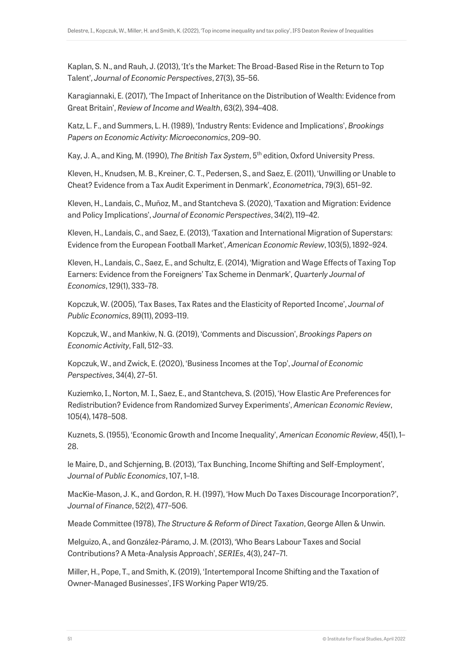Kaplan, S. N., and Rauh, J. (2013), 'It's the Market: The Broad-Based Rise in the Return to Top Talent', *Journal of Economic Perspectives*, 27(3), 35–56.

Karagiannaki, E. (2017), 'The Impact of Inheritance on the Distribution of Wealth: Evidence from Great Britain', *Review of Income and Wealth*, 63(2), 394–408.

Katz, L. F., and Summers, L. H. (1989), 'Industry Rents: Evidence and Implications', *Brookings Papers on Economic Activity: Microeconomics*, 209–90.

Kay, J. A., and King, M. (1990), *The British Tax System*, 5th edition, Oxford University Press.

Kleven, H., Knudsen, M. B., Kreiner, C. T., Pedersen, S., and Saez, E. (2011), 'Unwilling or Unable to Cheat? Evidence from a Tax Audit Experiment in Denmark', *Econometrica*, 79(3), 651–92.

Kleven, H., Landais, C., Muñoz, M., and Stantcheva S. (2020), 'Taxation and Migration: Evidence and Policy Implications', *Journal of Economic Perspectives*, 34(2), 119–42.

Kleven, H., Landais, C., and Saez, E. (2013), 'Taxation and International Migration of Superstars: Evidence from the European Football Market', *American Economic Review*, 103(5), 1892–924.

Kleven, H., Landais, C., Saez, E., and Schultz, E. (2014), 'Migration and Wage Effects of Taxing Top Earners: Evidence from the Foreigners' Tax Scheme in Denmark', *Quarterly Journal of Economics*, 129(1), 333–78.

Kopczuk, W. (2005), 'Tax Bases, Tax Rates and the Elasticity of Reported Income', *Journal of Public Economics*, 89(11), 2093–119.

Kopczuk, W., and Mankiw, N. G. (2019), 'Comments and Discussion', *Brookings Papers on Economic Activity*, Fall, 512–33.

Kopczuk, W., and Zwick, E. (2020), 'Business Incomes at the Top', *Journal of Economic Perspectives*, 34(4), 27–51.

Kuziemko, I., Norton, M. I., Saez, E., and Stantcheva, S. (2015), 'How Elastic Are Preferences for Redistribution? Evidence from Randomized Survey Experiments', *American Economic Review*, 105(4), 1478–508.

Kuznets, S. (1955), 'Economic Growth and Income Inequality', *American Economic Review*, 45(1), 1– 28.

le Maire, D., and Schjerning, B. (2013), 'Tax Bunching, Income Shifting and Self-Employment', *Journal of Public Economics*, 107, 1–18.

MacKie-Mason, J. K., and Gordon, R. H. (1997), 'How Much Do Taxes Discourage Incorporation?', *Journal of Finance*, 52(2), 477–506.

Meade Committee (1978), *The Structure & Reform of Direct Taxation*, George Allen & Unwin.

Melguizo, A., and González-Páramo, J. M. (2013), 'Who Bears Labour Taxes and Social Contributions? A Meta-Analysis Approach', *SERIEs*, 4(3), 247–71.

Miller, H., Pope, T., and Smith, K. (2019), 'Intertemporal Income Shifting and the Taxation of Owner-Managed Businesses', IFS Working Paper W19/25.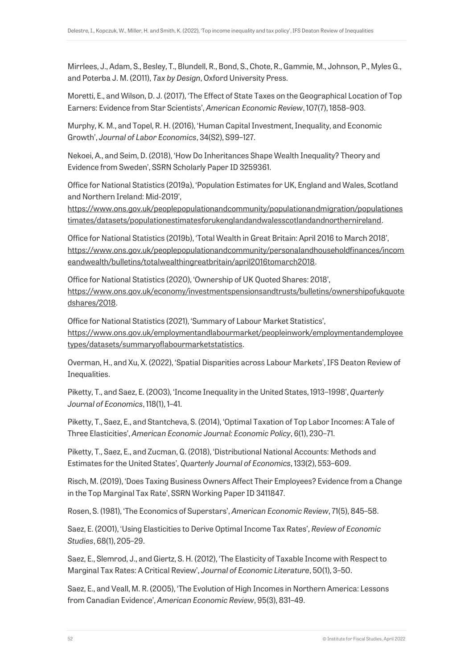Mirrlees, J., Adam, S., Besley, T., Blundell, R., Bond, S., Chote, R., Gammie, M., Johnson, P., Myles G., and Poterba J. M. (2011), *Tax by Design*, Oxford University Press.

Moretti, E., and Wilson, D. J. (2017), 'The Effect of State Taxes on the Geographical Location of Top Earners: Evidence from Star Scientists', *American Economic Review*, 107(7), 1858–903.

Murphy, K. M., and Topel, R. H. (2016), 'Human Capital Investment, Inequality, and Economic Growth', *Journal of Labor Economics*, 34(S2), S99–127.

Nekoei, A., and Seim, D. (2018), 'How Do Inheritances Shape Wealth Inequality? Theory and Evidence from Sweden', SSRN Scholarly Paper ID 3259361.

Office for National Statistics (2019a), 'Population Estimates for UK, England and Wales, Scotland and Northern Ireland: Mid-2019',

[https://www.ons.gov.uk/peoplepopulationandcommunity/populationandmigration/populationes](https://www.ons.gov.uk/peoplepopulationandcommunity/populationandmigration/populationestimates/datasets/populationestimatesforukenglandandwalesscotlandandnorthernireland) [timates/datasets/populationestimatesforukenglandandwalesscotlandandnorthernireland.](https://www.ons.gov.uk/peoplepopulationandcommunity/populationandmigration/populationestimates/datasets/populationestimatesforukenglandandwalesscotlandandnorthernireland)

Office for National Statistics (2019b), 'Total Wealth in Great Britain: April 2016 to March 2018', [https://www.ons.gov.uk/peoplepopulationandcommunity/personalandhouseholdfinances/incom](https://www.ons.gov.uk/peoplepopulationandcommunity/personalandhouseholdfinances/incomeandwealth/bulletins/totalwealthingreatbritain/april2016tomarch2018) [eandwealth/bulletins/totalwealthingreatbritain/april2016tomarch2018.](https://www.ons.gov.uk/peoplepopulationandcommunity/personalandhouseholdfinances/incomeandwealth/bulletins/totalwealthingreatbritain/april2016tomarch2018)

Office for National Statistics (2020), 'Ownership of UK Quoted Shares: 2018', [https://www.ons.gov.uk/economy/investmentspensionsandtrusts/bulletins/ownershipofukquote](https://www.ons.gov.uk/economy/investmentspensionsandtrusts/bulletins/ownershipofukquotedshares/2018) [dshares/2018.](https://www.ons.gov.uk/economy/investmentspensionsandtrusts/bulletins/ownershipofukquotedshares/2018)

Office for National Statistics (2021), 'Summary of Labour Market Statistics', [https://www.ons.gov.uk/employmentandlabourmarket/peopleinwork/employmentandemployee](https://www.ons.gov.uk/employmentandlabourmarket/peopleinwork/employmentandemployeetypes/datasets/summaryoflabourmarketstatistics) [types/datasets/summaryoflabourmarketstatistics.](https://www.ons.gov.uk/employmentandlabourmarket/peopleinwork/employmentandemployeetypes/datasets/summaryoflabourmarketstatistics)

Overman, H., and Xu, X. (2022), 'Spatial Disparities across Labour Markets', IFS Deaton Review of Inequalities.

Piketty, T., and Saez, E. (2003), 'Income Inequality in the United States, 1913–1998', *Quarterly Journal of Economics*, 118(1), 1–41.

Piketty, T., Saez, E., and Stantcheva, S. (2014), 'Optimal Taxation of Top Labor Incomes: A Tale of Three Elasticities', *American Economic Journal: Economic Policy*, 6(1), 230–71.

Piketty, T., Saez, E., and Zucman, G. (2018), 'Distributional National Accounts: Methods and Estimates for the United States', *Quarterly Journal of Economics*, 133(2), 553–609.

Risch, M. (2019), 'Does Taxing Business Owners Affect Their Employees? Evidence from a Change in the Top Marginal Tax Rate', SSRN Working Paper ID 3411847.

Rosen, S. (1981), 'The Economics of Superstars', *American Economic Review*, 71(5), 845–58.

Saez, E. (2001), 'Using Elasticities to Derive Optimal Income Tax Rates', *Review of Economic Studies*, 68(1), 205–29.

Saez, E., Slemrod, J., and Giertz, S. H. (2012), 'The Elasticity of Taxable Income with Respect to Marginal Tax Rates: A Critical Review', *Journal of Economic Literature*, 50(1), 3–50.

Saez, E., and Veall, M. R. (2005), 'The Evolution of High Incomes in Northern America: Lessons from Canadian Evidence', *American Economic Review*, 95(3), 831–49.